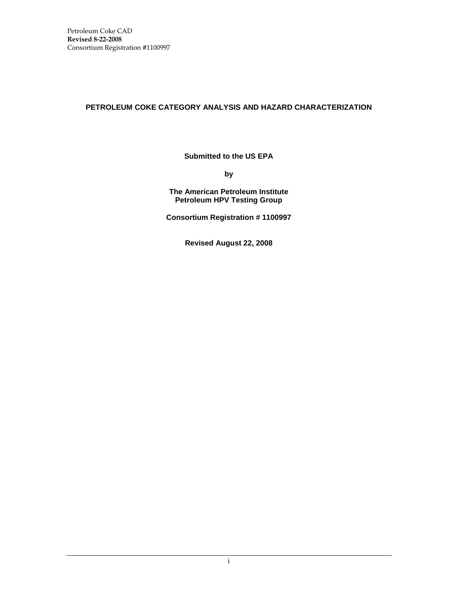# **PETROLEUM COKE CATEGORY ANALYSIS AND HAZARD CHARACTERIZATION**

**Submitted to the US EPA**

**by**

**The American Petroleum Institute Petroleum HPV Testing Group**

**Consortium Registration # 1100997**

**Revised August 22, 2008**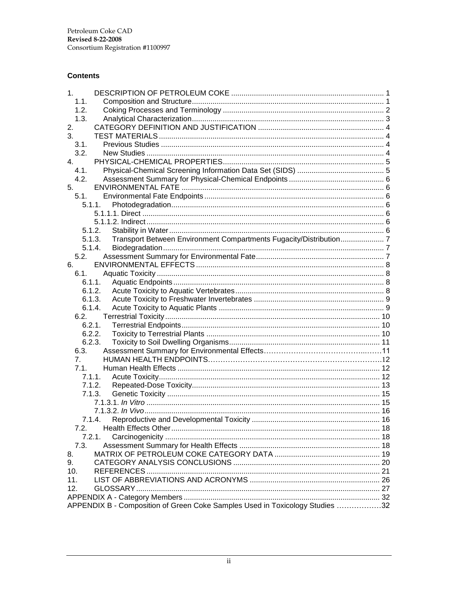# **Contents**

| 1.                                                                           |  |
|------------------------------------------------------------------------------|--|
| 1.1.                                                                         |  |
| 1.2.                                                                         |  |
| 1.3.                                                                         |  |
| 2.                                                                           |  |
| 3.                                                                           |  |
| 3.1.                                                                         |  |
| 3.2.                                                                         |  |
| 4 <sub>1</sub>                                                               |  |
| 4.1.                                                                         |  |
| 4.2.                                                                         |  |
| 5.                                                                           |  |
| 5.1.                                                                         |  |
| 5.1.1.                                                                       |  |
|                                                                              |  |
|                                                                              |  |
| 5.1.2.                                                                       |  |
| Transport Between Environment Compartments Fugacity/Distribution 7<br>5.1.3. |  |
| 5.1.4.                                                                       |  |
| 5.2.                                                                         |  |
| 6.                                                                           |  |
| 6.1.                                                                         |  |
| 6.1.1.                                                                       |  |
| 6.1.2.                                                                       |  |
| 6.1.3.                                                                       |  |
| 6.1.4.                                                                       |  |
| 6.2.                                                                         |  |
| 6.2.1.                                                                       |  |
| 6.2.2.                                                                       |  |
| 6.2.3.                                                                       |  |
| 6.3.                                                                         |  |
| 7.                                                                           |  |
| 7.1.                                                                         |  |
| 7.1.1.                                                                       |  |
| 7.1.2.                                                                       |  |
| 7.1.3.                                                                       |  |
|                                                                              |  |
|                                                                              |  |
| 7.1.4.                                                                       |  |
| 7.2.                                                                         |  |
| 7.2.1.                                                                       |  |
| 7.3.                                                                         |  |
| 8.                                                                           |  |
| 9.                                                                           |  |
| 10.                                                                          |  |
| 11.                                                                          |  |
| 12.                                                                          |  |
|                                                                              |  |
| APPENDIX B - Composition of Green Coke Samples Used in Toxicology Studies 32 |  |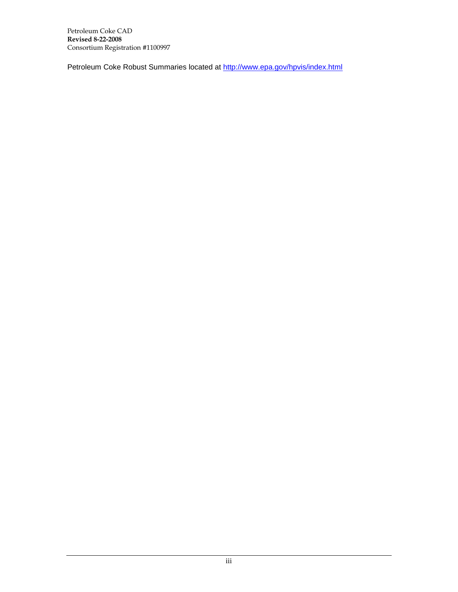Petroleum Coke Robust Summaries located at<http://www.epa.gov/hpvis/index.html>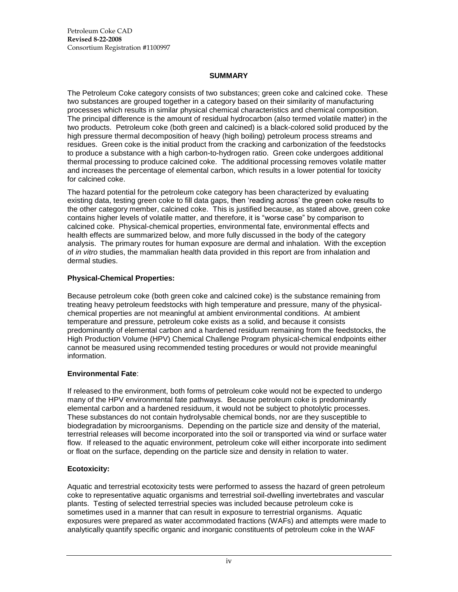### **SUMMARY**

The Petroleum Coke category consists of two substances; green coke and calcined coke. These two substances are grouped together in a category based on their similarity of manufacturing processes which results in similar physical chemical characteristics and chemical composition. The principal difference is the amount of residual hydrocarbon (also termed volatile matter) in the two products. Petroleum coke (both green and calcined) is a black-colored solid produced by the high pressure thermal decomposition of heavy (high boiling) petroleum process streams and residues. Green coke is the initial product from the cracking and carbonization of the feedstocks to produce a substance with a high carbon-to-hydrogen ratio. Green coke undergoes additional thermal processing to produce calcined coke. The additional processing removes volatile matter and increases the percentage of elemental carbon, which results in a lower potential for toxicity for calcined coke.

The hazard potential for the petroleum coke category has been characterized by evaluating existing data, testing green coke to fill data gaps, then 'reading across' the green coke results to the other category member, calcined coke. This is justified because, as stated above, green coke contains higher levels of volatile matter, and therefore, it is "worse case" by comparison to calcined coke. Physical-chemical properties, environmental fate, environmental effects and health effects are summarized below, and more fully discussed in the body of the category analysis. The primary routes for human exposure are dermal and inhalation. With the exception of *in vitro* studies, the mammalian health data provided in this report are from inhalation and dermal studies.

## **Physical-Chemical Properties:**

Because petroleum coke (both green coke and calcined coke) is the substance remaining from treating heavy petroleum feedstocks with high temperature and pressure, many of the physicalchemical properties are not meaningful at ambient environmental conditions. At ambient temperature and pressure, petroleum coke exists as a solid, and because it consists predominantly of elemental carbon and a hardened residuum remaining from the feedstocks, the High Production Volume (HPV) Chemical Challenge Program physical-chemical endpoints either cannot be measured using recommended testing procedures or would not provide meaningful information.

# **Environmental Fate**:

If released to the environment, both forms of petroleum coke would not be expected to undergo many of the HPV environmental fate pathways. Because petroleum coke is predominantly elemental carbon and a hardened residuum, it would not be subject to photolytic processes. These substances do not contain hydrolysable chemical bonds, nor are they susceptible to biodegradation by microorganisms. Depending on the particle size and density of the material, terrestrial releases will become incorporated into the soil or transported via wind or surface water flow. If released to the aquatic environment, petroleum coke will either incorporate into sediment or float on the surface, depending on the particle size and density in relation to water.

# **Ecotoxicity:**

Aquatic and terrestrial ecotoxicity tests were performed to assess the hazard of green petroleum coke to representative aquatic organisms and terrestrial soil-dwelling invertebrates and vascular plants. Testing of selected terrestrial species was included because petroleum coke is sometimes used in a manner that can result in exposure to terrestrial organisms. Aquatic exposures were prepared as water accommodated fractions (WAFs) and attempts were made to analytically quantify specific organic and inorganic constituents of petroleum coke in the WAF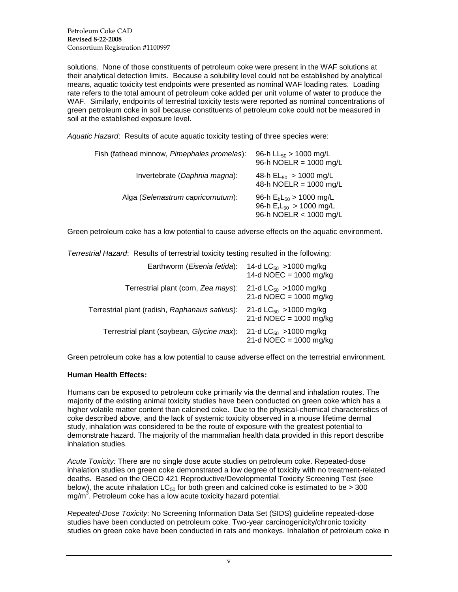solutions. None of those constituents of petroleum coke were present in the WAF solutions at their analytical detection limits. Because a solubility level could not be established by analytical means, aquatic toxicity test endpoints were presented as nominal WAF loading rates. Loading rate refers to the total amount of petroleum coke added per unit volume of water to produce the WAF. Similarly, endpoints of terrestrial toxicity tests were reported as nominal concentrations of green petroleum coke in soil because constituents of petroleum coke could not be measured in soil at the established exposure level.

*Aquatic Hazard*: Results of acute aquatic toxicity testing of three species were:

| Fish (fathead minnow, Pimephales promelas): | 96-h $LL_{50} > 1000$ mg/L<br>96-h NOELR = 1000 mg/L                                   |
|---------------------------------------------|----------------------------------------------------------------------------------------|
| Invertebrate (Daphnia magna):               | 48-h $EL_{50} > 1000$ mg/L<br>48-h NOELR = 1000 mg/L                                   |
| Alga (Selenastrum capricornutum):           | 96-h $E_bL_{50} > 1000$ mg/L<br>96-h $E_rL_{50} > 1000$ mg/L<br>96-h NOELR < 1000 mg/L |

Green petroleum coke has a low potential to cause adverse effects on the aquatic environment.

*Terrestrial Hazard*: Results of terrestrial toxicity testing resulted in the following:

| Earthworm (Eisenia fetida):                    | 14-d $LC_{50}$ >1000 mg/kg<br>14-d NOEC = $1000$ mg/kg |
|------------------------------------------------|--------------------------------------------------------|
| Terrestrial plant (corn, Zea mays):            | 21-d $LC_{50}$ >1000 mg/kg<br>21-d NOEC = $1000$ mg/kg |
| Terrestrial plant (radish, Raphanaus sativus): | 21-d $LC_{50}$ >1000 mg/kg<br>21-d NOEC = $1000$ mg/kg |
| Terrestrial plant (soybean, Glycine max):      | 21-d $LC_{50}$ >1000 mg/kg<br>21-d NOEC = $1000$ mg/kg |

Green petroleum coke has a low potential to cause adverse effect on the terrestrial environment.

#### **Human Health Effects:**

Humans can be exposed to petroleum coke primarily via the dermal and inhalation routes. The majority of the existing animal toxicity studies have been conducted on green coke which has a higher volatile matter content than calcined coke. Due to the physical-chemical characteristics of coke described above, and the lack of systemic toxicity observed in a mouse lifetime dermal study, inhalation was considered to be the route of exposure with the greatest potential to demonstrate hazard. The majority of the mammalian health data provided in this report describe inhalation studies.

*Acute Toxicity:* There are no single dose acute studies on petroleum coke. Repeated-dose inhalation studies on green coke demonstrated a low degree of toxicity with no treatment-related deaths. Based on the OECD 421 Reproductive/Developmental Toxicity Screening Test (see below), the acute inhalation  $LC_{50}$  for both green and calcined coke is estimated to be  $>$  300 mg/m<sup>3</sup>. Petroleum coke has a low acute toxicity hazard potential.

*Repeated-Dose Toxicity*: No Screening Information Data Set (SIDS) guideline repeated-dose studies have been conducted on petroleum coke. Two-year carcinogenicity/chronic toxicity studies on green coke have been conducted in rats and monkeys. Inhalation of petroleum coke in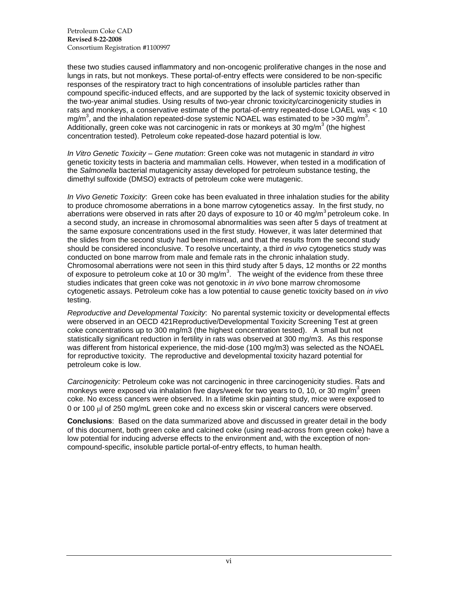Petroleum Coke CAD **Revised 8-22-2008** Consortium Registration #1100997

these two studies caused inflammatory and non-oncogenic proliferative changes in the nose and lungs in rats, but not monkeys. These portal-of-entry effects were considered to be non-specific responses of the respiratory tract to high concentrations of insoluble particles rather than compound specific-induced effects, and are supported by the lack of systemic toxicity observed in the two-year animal studies. Using results of two-year chronic toxicity/carcinogenicity studies in rats and monkeys, a conservative estimate of the portal-of-entry repeated-dose LOAEL was < 10 mg/m<sup>3</sup>, and the inhalation repeated-dose systemic NOAEL was estimated to be >30 mg/m<sup>3</sup>. Additionally, green coke was not carcinogenic in rats or monkeys at 30 mg/m<sup>3</sup> (the highest concentration tested). Petroleum coke repeated-dose hazard potential is low.

*In Vitro Genetic Toxicity – Gene mutation*: Green coke was not mutagenic in standard *in vitro* genetic toxicity tests in bacteria and mammalian cells. However, when tested in a modification of the *Salmonella* bacterial mutagenicity assay developed for petroleum substance testing, the dimethyl sulfoxide (DMSO) extracts of petroleum coke were mutagenic.

*In Vivo Genetic Toxicity*: Green coke has been evaluated in three inhalation studies for the ability to produce chromosome aberrations in a bone marrow cytogenetics assay. In the first study, no aberrations were observed in rats after 20 days of exposure to 10 or 40 mg/m<sup>3</sup> petroleum coke. In a second study, an increase in chromosomal abnormalities was seen after 5 days of treatment at the same exposure concentrations used in the first study. However, it was later determined that the slides from the second study had been misread, and that the results from the second study should be considered inconclusive. To resolve uncertainty, a third *in vivo* cytogenetics study was conducted on bone marrow from male and female rats in the chronic inhalation study. Chromosomal aberrations were not seen in this third study after 5 days, 12 months or 22 months of exposure to petroleum coke at 10 or 30 mg/m<sup>3</sup>. The weight of the evidence from these three studies indicates that green coke was not genotoxic in *in vivo* bone marrow chromosome cytogenetic assays. Petroleum coke has a low potential to cause genetic toxicity based on *in vivo* testing.

*Reproductive and Developmental Toxicity*: No parental systemic toxicity or developmental effects were observed in an OECD 421Reproductive/Developmental Toxicity Screening Test at green coke concentrations up to 300 mg/m3 (the highest concentration tested). A small but not statistically significant reduction in fertility in rats was observed at 300 mg/m3. As this response was different from historical experience, the mid-dose (100 mg/m3) was selected as the NOAEL for reproductive toxicity. The reproductive and developmental toxicity hazard potential for petroleum coke is low.

*Carcinogenicity:* Petroleum coke was not carcinogenic in three carcinogenicity studies. Rats and monkeys were exposed via inhalation five days/week for two years to 0, 10, or 30 mg/m<sup>3</sup> green coke. No excess cancers were observed. In a lifetime skin painting study, mice were exposed to 0 or 100 ul of 250 mg/mL green coke and no excess skin or visceral cancers were observed.

**Conclusions**: Based on the data summarized above and discussed in greater detail in the body of this document, both green coke and calcined coke (using read-across from green coke) have a low potential for inducing adverse effects to the environment and, with the exception of noncompound-specific, insoluble particle portal-of-entry effects, to human health.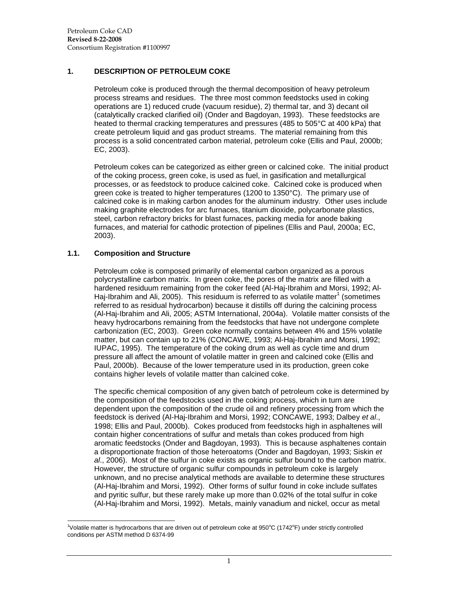### <span id="page-6-0"></span>**1. DESCRIPTION OF PETROLEUM COKE**

Petroleum coke is produced through the thermal decomposition of heavy petroleum process streams and residues. The three most common feedstocks used in coking operations are 1) reduced crude (vacuum residue), 2) thermal tar, and 3) decant oil (catalytically cracked clarified oil) (Onder and Bagdoyan, 1993). These feedstocks are heated to thermal cracking temperatures and pressures (485 to 505°C at 400 kPa) that create petroleum liquid and gas product streams. The material remaining from this process is a solid concentrated carbon material, petroleum coke (Ellis and Paul, 2000b; EC, 2003).

Petroleum cokes can be categorized as either green or calcined coke. The initial product of the coking process, green coke, is used as fuel, in gasification and metallurgical processes, or as feedstock to produce calcined coke. Calcined coke is produced when green coke is treated to higher temperatures (1200 to 1350°C). The primary use of calcined coke is in making carbon anodes for the aluminum industry. Other uses include making graphite electrodes for arc furnaces, titanium dioxide, polycarbonate plastics, steel, carbon refractory bricks for blast furnaces, packing media for anode baking furnaces, and material for cathodic protection of pipelines (Ellis and Paul, 2000a; EC, 2003).

## <span id="page-6-1"></span>**1.1. Composition and Structure**

Petroleum coke is composed primarily of elemental carbon organized as a porous polycrystalline carbon matrix. In green coke, the pores of the matrix are filled with a hardened residuum remaining from the coker feed (Al-Haj-Ibrahim and Morsi, 1992; Al-Haj-Ibrahim and Ali, 2005). This residuum is referred to as volatile matter<sup>1</sup> (sometimes referred to as residual hydrocarbon) because it distills off during the calcining process (Al-Haj-Ibrahim and Ali, 2005; ASTM International, 2004a). Volatile matter consists of the heavy hydrocarbons remaining from the feedstocks that have not undergone complete carbonization (EC, 2003). Green coke normally contains between 4% and 15% volatile matter, but can contain up to 21% (CONCAWE, 1993; Al-Haj-Ibrahim and Morsi, 1992; IUPAC, 1995). The temperature of the coking drum as well as cycle time and drum pressure all affect the amount of volatile matter in green and calcined coke (Ellis and Paul, 2000b). Because of the lower temperature used in its production, green coke contains higher levels of volatile matter than calcined coke.

The specific chemical composition of any given batch of petroleum coke is determined by the composition of the feedstocks used in the coking process, which in turn are dependent upon the composition of the crude oil and refinery processing from which the feedstock is derived (Al-Haj-Ibrahim and Morsi, 1992; CONCAWE, 1993; Dalbey *et al*., 1998; Ellis and Paul, 2000b). Cokes produced from feedstocks high in asphaltenes will contain higher concentrations of sulfur and metals than cokes produced from high aromatic feedstocks (Onder and Bagdoyan, 1993). This is because asphaltenes contain a disproportionate fraction of those heteroatoms (Onder and Bagdoyan, 1993; Siskin *et al*., 2006). Most of the sulfur in coke exists as organic sulfur bound to the carbon matrix. However, the structure of organic sulfur compounds in petroleum coke is largely unknown, and no precise analytical methods are available to determine these structures (Al-Haj-Ibrahim and Morsi, 1992). Other forms of sulfur found in coke include sulfates and pyritic sulfur, but these rarely make up more than 0.02% of the total sulfur in coke (Al-Haj-Ibrahim and Morsi, 1992). Metals, mainly vanadium and nickel, occur as metal

 $\overline{a}$ <sup>1</sup>Volatile matter is hydrocarbons that are driven out of petroleum coke at 950°C (1742°F) under strictly controlled conditions per ASTM method D 6374-99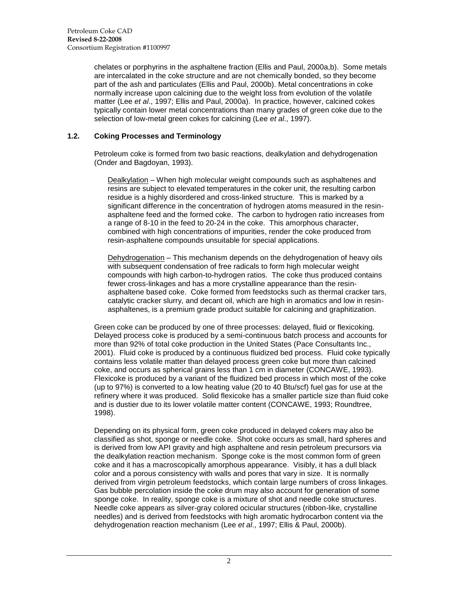chelates or porphyrins in the asphaltene fraction (Ellis and Paul, 2000a,b). Some metals are intercalated in the coke structure and are not chemically bonded, so they become part of the ash and particulates (Ellis and Paul, 2000b). Metal concentrations in coke normally increase upon calcining due to the weight loss from evolution of the volatile matter (Lee *et al*., 1997; Ellis and Paul, 2000a). In practice, however, calcined cokes typically contain lower metal concentrations than many grades of green coke due to the selection of low-metal green cokes for calcining (Lee *et al*., 1997).

## <span id="page-7-0"></span>**1.2. Coking Processes and Terminology**

Petroleum coke is formed from two basic reactions, dealkylation and dehydrogenation (Onder and Bagdoyan, 1993).

Dealkylation – When high molecular weight compounds such as asphaltenes and resins are subject to elevated temperatures in the coker unit, the resulting carbon residue is a highly disordered and cross-linked structure. This is marked by a significant difference in the concentration of hydrogen atoms measured in the resinasphaltene feed and the formed coke. The carbon to hydrogen ratio increases from a range of 8-10 in the feed to 20-24 in the coke. This amorphous character, combined with high concentrations of impurities, render the coke produced from resin-asphaltene compounds unsuitable for special applications.

Dehydrogenation – This mechanism depends on the dehydrogenation of heavy oils with subsequent condensation of free radicals to form high molecular weight compounds with high carbon-to-hydrogen ratios. The coke thus produced contains fewer cross-linkages and has a more crystalline appearance than the resinasphaltene based coke. Coke formed from feedstocks such as thermal cracker tars, catalytic cracker slurry, and decant oil, which are high in aromatics and low in resinasphaltenes, is a premium grade product suitable for calcining and graphitization.

Green coke can be produced by one of three processes: delayed, fluid or flexicoking. Delayed process coke is produced by a semi-continuous batch process and accounts for more than 92% of total coke production in the United States (Pace Consultants Inc., 2001). Fluid coke is produced by a continuous fluidized bed process. Fluid coke typically contains less volatile matter than delayed process green coke but more than calcined coke, and occurs as spherical grains less than 1 cm in diameter (CONCAWE, 1993). Flexicoke is produced by a variant of the fluidized bed process in which most of the coke (up to 97%) is converted to a low heating value (20 to 40 Btu/scf) fuel gas for use at the refinery where it was produced. Solid flexicoke has a smaller particle size than fluid coke and is dustier due to its lower volatile matter content (CONCAWE, 1993; Roundtree, 1998).

Depending on its physical form, green coke produced in delayed cokers may also be classified as shot, sponge or needle coke. Shot coke occurs as small, hard spheres and is derived from low API gravity and high asphaltene and resin petroleum precursors via the dealkylation reaction mechanism. Sponge coke is the most common form of green coke and it has a macroscopically amorphous appearance. Visibly, it has a dull black color and a porous consistency with walls and pores that vary in size. It is normally derived from virgin petroleum feedstocks, which contain large numbers of cross linkages. Gas bubble percolation inside the coke drum may also account for generation of some sponge coke. In reality, sponge coke is a mixture of shot and needle coke structures. Needle coke appears as silver-gray colored ocicular structures (ribbon-like, crystalline needles) and is derived from feedstocks with high aromatic hydrocarbon content via the dehydrogenation reaction mechanism (Lee *et al*., 1997; Ellis & Paul, 2000b).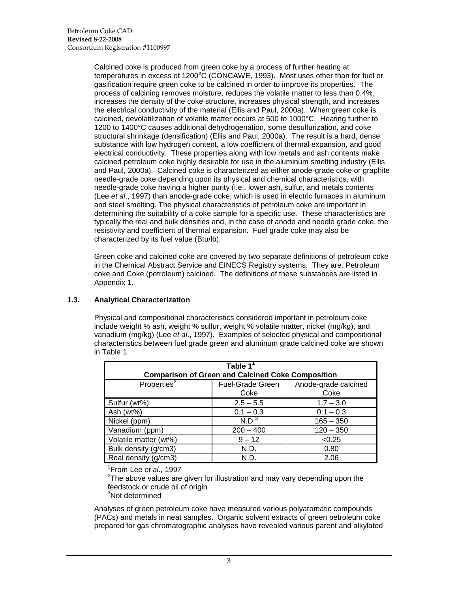Calcined coke is produced from green coke by a process of further heating at temperatures in excess of  $1200^{\circ}$ C (CONCAWE, 1993). Most uses other than for fuel or gasification require green coke to be calcined in order to improve its properties. The process of calcining removes moisture, reduces the volatile matter to less than 0.4%, increases the density of the coke structure, increases physical strength, and increases the electrical conductivity of the material (Ellis and Paul, 2000a). When green coke is calcined, devolatilization of volatile matter occurs at 500 to 1000°C. Heating further to 1200 to 1400°C causes additional dehydrogenation, some desulfurization, and coke structural shrinkage (densification) (Ellis and Paul, 2000a). The result is a hard, dense substance with low hydrogen content, a low coefficient of thermal expansion, and good electrical conductivity. These properties along with low metals and ash contents make calcined petroleum coke highly desirable for use in the aluminum smelting industry (Ellis and Paul, 2000a). Calcined coke is characterized as either anode-grade coke or graphite needle-grade coke depending upon its physical and chemical characteristics, with needle-grade coke having a higher purity (i.e., lower ash, sulfur, and metals contents (Lee *et al*., 1997) than anode-grade coke, which is used in electric furnaces in aluminum and steel smelting. The physical characteristics of petroleum coke are important in determining the suitability of a coke sample for a specific use. These characteristics are typically the real and bulk densities and, in the case of anode and needle grade coke, the resistivity and coefficient of thermal expansion. Fuel grade coke may also be characterized by its fuel value (Btu/lb).

Green coke and calcined coke are covered by two separate definitions of petroleum coke in the Chemical Abstract Service and EINECS Registry systems. They are: Petroleum coke and Coke (petroleum) calcined. The definitions of these substances are listed in Appendix 1.

# <span id="page-8-0"></span>**1.3. Analytical Characterization**

Physical and compositional characteristics considered important in petroleum coke include weight % ash, weight % sulfur, weight % volatile matter, nickel (mg/kg), and vanadium (mg/kg) (Lee *et al*., 1997). Examples of selected physical and compositional characteristics between fuel grade green and aluminum grade calcined coke are shown in Table 1.

| Table $1^1$<br><b>Comparison of Green and Calcined Coke Composition</b> |                         |                      |  |  |  |  |  |  |  |
|-------------------------------------------------------------------------|-------------------------|----------------------|--|--|--|--|--|--|--|
|                                                                         |                         |                      |  |  |  |  |  |  |  |
| Properties $2$                                                          | <b>Fuel-Grade Green</b> | Anode-grade calcined |  |  |  |  |  |  |  |
|                                                                         | Coke                    | Coke                 |  |  |  |  |  |  |  |
| Sulfur (wt%)                                                            | $2.5 - 5.5$             | $1.7 - 3.0$          |  |  |  |  |  |  |  |
| Ash (wt%)                                                               | $0.1 - 0.3$             | $0.1 - 0.3$          |  |  |  |  |  |  |  |
| Nickel (ppm)                                                            | N.D. <sup>3</sup>       | $165 - 350$          |  |  |  |  |  |  |  |
| Vanadium (ppm)                                                          | $200 - 400$             | $120 - 350$          |  |  |  |  |  |  |  |
| Volatile matter (wt%)                                                   | $9 - 12$                | < 0.25               |  |  |  |  |  |  |  |
| Bulk density (g/cm3)                                                    | N.D.                    | 0.80                 |  |  |  |  |  |  |  |
| Real density (g/cm3)                                                    | N.D.                    | 2.06                 |  |  |  |  |  |  |  |

1 From Lee *et al*., 1997

 $2$ The above values are given for illustration and may vary depending upon the feedstock or crude oil of origin

<sup>3</sup>Not determined

Analyses of green petroleum coke have measured various polyaromatic compounds (PACs) and metals in neat samples. Organic solvent extracts of green petroleum coke prepared for gas chromatographic analyses have revealed various parent and alkylated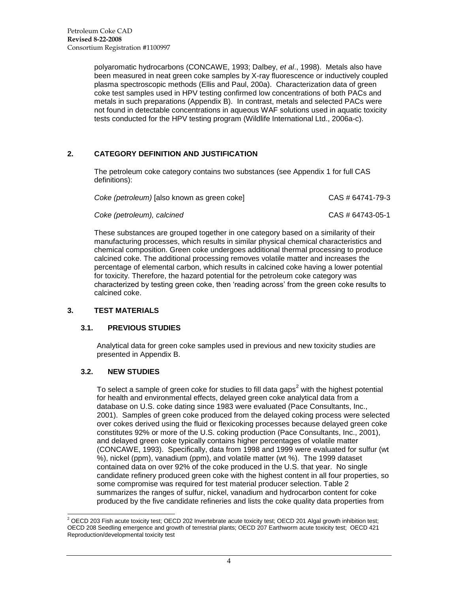polyaromatic hydrocarbons (CONCAWE, 1993; Dalbey, *et al*., 1998). Metals also have been measured in neat green coke samples by X-ray fluorescence or inductively coupled plasma spectroscopic methods (Ellis and Paul, 200a). Characterization data of green coke test samples used in HPV testing confirmed low concentrations of both PACs and metals in such preparations (Appendix B). In contrast, metals and selected PACs were not found in detectable concentrations in aqueous WAF solutions used in aquatic toxicity tests conducted for the HPV testing program (Wildlife International Ltd., 2006a-c).

# <span id="page-9-0"></span>**2. CATEGORY DEFINITION AND JUSTIFICATION**

The petroleum coke category contains two substances (see Appendix 1 for full CAS definitions):

| Coke (petroleum) [also known as green coke] | CAS # 64741-79-3 |
|---------------------------------------------|------------------|
| Coke (petroleum), calcined                  | CAS # 64743-05-1 |

These substances are grouped together in one category based on a similarity of their manufacturing processes, which results in similar physical chemical characteristics and chemical composition. Green coke undergoes additional thermal processing to produce calcined coke. The additional processing removes volatile matter and increases the percentage of elemental carbon, which results in calcined coke having a lower potential for toxicity. Therefore, the hazard potential for the petroleum coke category was characterized by testing green coke, then "reading across" from the green coke results to calcined coke.

# <span id="page-9-2"></span><span id="page-9-1"></span>**3. TEST MATERIALS**

#### **3.1. PREVIOUS STUDIES**

Analytical data for green coke samples used in previous and new toxicity studies are presented in Appendix B.

#### <span id="page-9-3"></span>**3.2. NEW STUDIES**

To select a sample of green coke for studies to fill data gaps<sup>2</sup> with the highest potential for health and environmental effects, delayed green coke analytical data from a database on U.S. coke dating since 1983 were evaluated (Pace Consultants, Inc., 2001). Samples of green coke produced from the delayed coking process were selected over cokes derived using the fluid or flexicoking processes because delayed green coke constitutes 92% or more of the U.S. coking production (Pace Consultants, Inc., 2001), and delayed green coke typically contains higher percentages of volatile matter (CONCAWE, 1993). Specifically, data from 1998 and 1999 were evaluated for sulfur (wt %), nickel (ppm), vanadium (ppm), and volatile matter (wt %). The 1999 dataset contained data on over 92% of the coke produced in the U.S. that year. No single candidate refinery produced green coke with the highest content in all four properties, so some compromise was required for test material producer selection. Table 2 summarizes the ranges of sulfur, nickel, vanadium and hydrocarbon content for coke produced by the five candidate refineries and lists the coke quality data properties from

 $\overline{a}$  $^2$  OECD 203 Fish acute toxicity test; OECD 202 Invertebrate acute toxicity test; OECD 201 Algal growth inhibition test; OECD 208 Seedling emergence and growth of terrestrial plants; OECD 207 Earthworm acute toxicity test; OECD 421 Reproduction/developmental toxicity test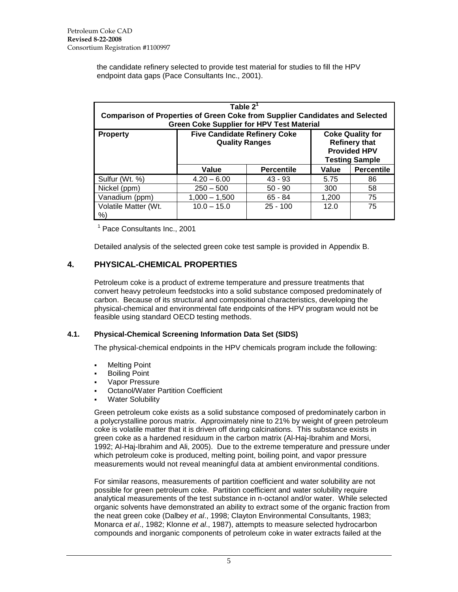the candidate refinery selected to provide test material for studies to fill the HPV endpoint data gaps (Pace Consultants Inc., 2001).

| Table $2^1$<br><b>Comparison of Properties of Green Coke from Supplier Candidates and Selected</b><br><b>Green Coke Supplier for HPV Test Material</b> |                                                                                                                                                                 |                          |      |    |  |  |  |  |  |
|--------------------------------------------------------------------------------------------------------------------------------------------------------|-----------------------------------------------------------------------------------------------------------------------------------------------------------------|--------------------------|------|----|--|--|--|--|--|
| <b>Property</b>                                                                                                                                        | <b>Five Candidate Refinery Coke</b><br><b>Coke Quality for</b><br><b>Refinery that</b><br><b>Quality Ranges</b><br><b>Provided HPV</b><br><b>Testing Sample</b> |                          |      |    |  |  |  |  |  |
|                                                                                                                                                        | <b>Percentile</b><br>Value<br>Value<br><b>Percentile</b>                                                                                                        |                          |      |    |  |  |  |  |  |
| Sulfur (Wt. %)                                                                                                                                         | $4.20 - 6.00$                                                                                                                                                   | $43 - 93$                | 5.75 | 86 |  |  |  |  |  |
| Nickel (ppm)                                                                                                                                           | $250 - 500$                                                                                                                                                     | $50 - 90$                | 300  | 58 |  |  |  |  |  |
| Vanadium (ppm)                                                                                                                                         | $1,000 - 1,500$                                                                                                                                                 | 75<br>$65 - 84$<br>1,200 |      |    |  |  |  |  |  |
| Volatile Matter (Wt.<br>%                                                                                                                              | $10.0 - 15.0$                                                                                                                                                   | $25 - 100$               | 12.0 | 75 |  |  |  |  |  |

<sup>1</sup> Pace Consultants Inc., 2001

Detailed analysis of the selected green coke test sample is provided in Appendix B.

# <span id="page-10-0"></span>**4. PHYSICAL-CHEMICAL PROPERTIES**

Petroleum coke is a product of extreme temperature and pressure treatments that convert heavy petroleum feedstocks into a solid substance composed predominately of carbon. Because of its structural and compositional characteristics, developing the physical-chemical and environmental fate endpoints of the HPV program would not be feasible using standard OECD testing methods.

#### <span id="page-10-1"></span>**4.1. Physical-Chemical Screening Information Data Set (SIDS)**

The physical-chemical endpoints in the HPV chemicals program include the following:

- Melting Point
- Boiling Point
- Vapor Pressure
- Octanol/Water Partition Coefficient
- Water Solubility

Green petroleum coke exists as a solid substance composed of predominately carbon in a polycrystalline porous matrix. Approximately nine to 21% by weight of green petroleum coke is volatile matter that it is driven off during calcinations. This substance exists in green coke as a hardened residuum in the carbon matrix (Al-Haj-Ibrahim and Morsi, 1992; Al-Haj-Ibrahim and Ali, 2005). Due to the extreme temperature and pressure under which petroleum coke is produced, melting point, boiling point, and vapor pressure measurements would not reveal meaningful data at ambient environmental conditions.

For similar reasons, measurements of partition coefficient and water solubility are not possible for green petroleum coke. Partition coefficient and water solubility require analytical measurements of the test substance in n-octanol and/or water. While selected organic solvents have demonstrated an ability to extract some of the organic fraction from the neat green coke (Dalbey *et al*., 1998; Clayton Environmental Consultants, 1983; Monarca *et al*., 1982; Klonne *et al*., 1987), attempts to measure selected hydrocarbon compounds and inorganic components of petroleum coke in water extracts failed at the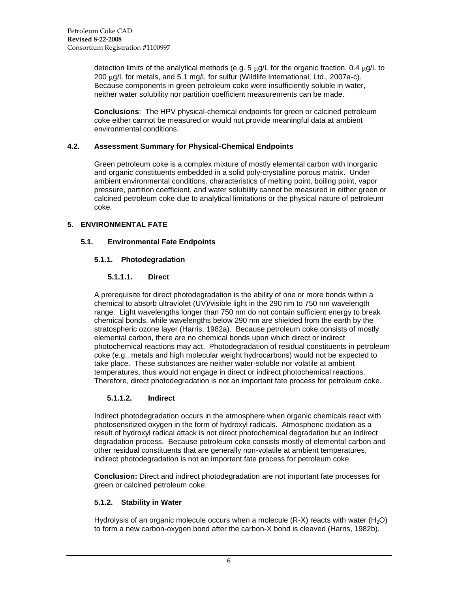detection limits of the analytical methods (e.g. 5  $\mu$ g/L for the organic fraction, 0.4  $\mu$ g/L to 200 ug/L for metals, and 5.1 mg/L for sulfur (Wildlife International, Ltd., 2007a-c). Because components in green petroleum coke were insufficiently soluble in water, neither water solubility nor partition coefficient measurements can be made.

**Conclusions**: The HPV physical-chemical endpoints for green or calcined petroleum coke either cannot be measured or would not provide meaningful data at ambient environmental conditions.

### <span id="page-11-0"></span>**4.2. Assessment Summary for Physical-Chemical Endpoints**

Green petroleum coke is a complex mixture of mostly elemental carbon with inorganic and organic constituents embedded in a solid poly-crystalline porous matrix. Under ambient environmental conditions, characteristics of melting point, boiling point, vapor pressure, partition coefficient, and water solubility cannot be measured in either green or calcined petroleum coke due to analytical limitations or the physical nature of petroleum coke.

# <span id="page-11-2"></span><span id="page-11-1"></span>**5. ENVIRONMENTAL FATE**

## <span id="page-11-3"></span>**5.1. Environmental Fate Endpoints**

# <span id="page-11-4"></span>**5.1.1. Photodegradation**

## **5.1.1.1. Direct**

A prerequisite for direct photodegradation is the ability of one or more bonds within a chemical to absorb ultraviolet (UV)/visible light in the 290 nm to 750 nm wavelength range. Light wavelengths longer than 750 nm do not contain sufficient energy to break chemical bonds, while wavelengths below 290 nm are shielded from the earth by the stratospheric ozone layer (Harris, 1982a). Because petroleum coke consists of mostly elemental carbon, there are no chemical bonds upon which direct or indirect photochemical reactions may act. Photodegradation of residual constituents in petroleum coke (e.g., metals and high molecular weight hydrocarbons) would not be expected to take place. These substances are neither water-soluble nor volatile at ambient temperatures, thus would not engage in direct or indirect photochemical reactions. Therefore, direct photodegradation is not an important fate process for petroleum coke.

#### **5.1.1.2. Indirect**

<span id="page-11-5"></span>Indirect photodegradation occurs in the atmosphere when organic chemicals react with photosensitized oxygen in the form of hydroxyl radicals. Atmospheric oxidation as a result of hydroxyl radical attack is not direct photochemical degradation but an indirect degradation process. Because petroleum coke consists mostly of elemental carbon and other residual constituents that are generally non-volatile at ambient temperatures, indirect photodegradation is not an important fate process for petroleum coke.

**Conclusion:** Direct and indirect photodegradation are not important fate processes for green or calcined petroleum coke.

#### <span id="page-11-6"></span>**5.1.2. Stability in Water**

Hydrolysis of an organic molecule occurs when a molecule  $(R-X)$  reacts with water  $(H_2O)$ to form a new carbon-oxygen bond after the carbon-X bond is cleaved (Harris, 1982b).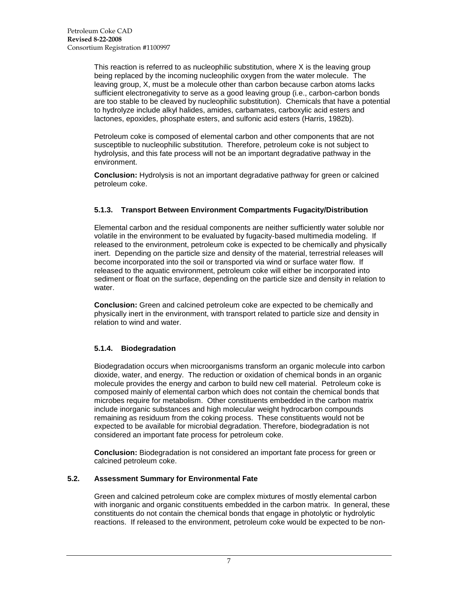This reaction is referred to as nucleophilic substitution, where X is the leaving group being replaced by the incoming nucleophilic oxygen from the water molecule. The leaving group, X, must be a molecule other than carbon because carbon atoms lacks sufficient electronegativity to serve as a good leaving group (i.e., carbon-carbon bonds are too stable to be cleaved by nucleophilic substitution). Chemicals that have a potential to hydrolyze include alkyl halides, amides, carbamates, carboxylic acid esters and lactones, epoxides, phosphate esters, and sulfonic acid esters (Harris, 1982b).

Petroleum coke is composed of elemental carbon and other components that are not susceptible to nucleophilic substitution. Therefore, petroleum coke is not subject to hydrolysis, and this fate process will not be an important degradative pathway in the environment.

**Conclusion:** Hydrolysis is not an important degradative pathway for green or calcined petroleum coke.

## <span id="page-12-0"></span>**5.1.3. Transport Between Environment Compartments Fugacity/Distribution**

Elemental carbon and the residual components are neither sufficiently water soluble nor volatile in the environment to be evaluated by fugacity-based multimedia modeling. If released to the environment, petroleum coke is expected to be chemically and physically inert. Depending on the particle size and density of the material, terrestrial releases will become incorporated into the soil or transported via wind or surface water flow. If released to the aquatic environment, petroleum coke will either be incorporated into sediment or float on the surface, depending on the particle size and density in relation to water.

**Conclusion:** Green and calcined petroleum coke are expected to be chemically and physically inert in the environment, with transport related to particle size and density in relation to wind and water.

#### <span id="page-12-1"></span>**5.1.4. Biodegradation**

Biodegradation occurs when microorganisms transform an organic molecule into carbon dioxide, water, and energy. The reduction or oxidation of chemical bonds in an organic molecule provides the energy and carbon to build new cell material. Petroleum coke is composed mainly of elemental carbon which does not contain the chemical bonds that microbes require for metabolism. Other constituents embedded in the carbon matrix include inorganic substances and high molecular weight hydrocarbon compounds remaining as residuum from the coking process. These constituents would not be expected to be available for microbial degradation. Therefore, biodegradation is not considered an important fate process for petroleum coke.

**Conclusion:** Biodegradation is not considered an important fate process for green or calcined petroleum coke.

#### <span id="page-12-2"></span>**5.2. Assessment Summary for Environmental Fate**

Green and calcined petroleum coke are complex mixtures of mostly elemental carbon with inorganic and organic constituents embedded in the carbon matrix. In general, these constituents do not contain the chemical bonds that engage in photolytic or hydrolytic reactions. If released to the environment, petroleum coke would be expected to be non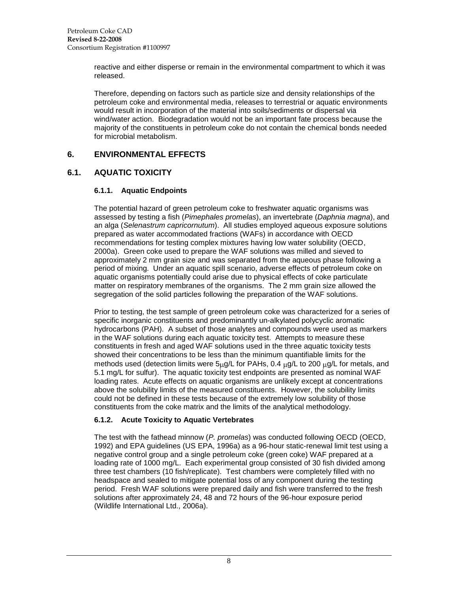reactive and either disperse or remain in the environmental compartment to which it was released.

Therefore, depending on factors such as particle size and density relationships of the petroleum coke and environmental media, releases to terrestrial or aquatic environments would result in incorporation of the material into soils/sediments or dispersal via wind/water action. Biodegradation would not be an important fate process because the majority of the constituents in petroleum coke do not contain the chemical bonds needed for microbial metabolism.

# <span id="page-13-0"></span>**6. ENVIRONMENTAL EFFECTS**

# <span id="page-13-2"></span><span id="page-13-1"></span>**6.1. AQUATIC TOXICITY**

#### **6.1.1. Aquatic Endpoints**

The potential hazard of green petroleum coke to freshwater aquatic organisms was assessed by testing a fish (*Pimephales promelas*), an invertebrate (*Daphnia magna*), and an alga (*Selenastrum capricornutum*). All studies employed aqueous exposure solutions prepared as water accommodated fractions (WAFs) in accordance with OECD recommendations for testing complex mixtures having low water solubility (OECD, 2000a). Green coke used to prepare the WAF solutions was milled and sieved to approximately 2 mm grain size and was separated from the aqueous phase following a period of mixing. Under an aquatic spill scenario, adverse effects of petroleum coke on aquatic organisms potentially could arise due to physical effects of coke particulate matter on respiratory membranes of the organisms. The 2 mm grain size allowed the segregation of the solid particles following the preparation of the WAF solutions.

Prior to testing, the test sample of green petroleum coke was characterized for a series of specific inorganic constituents and predominantly un-alkylated polycyclic aromatic hydrocarbons (PAH). A subset of those analytes and compounds were used as markers in the WAF solutions during each aquatic toxicity test. Attempts to measure these constituents in fresh and aged WAF solutions used in the three aquatic toxicity tests showed their concentrations to be less than the minimum quantifiable limits for the methods used (detection limits were  $5\mu$ g/L for PAHs, 0.4  $\mu$ g/L to 200  $\mu$ g/L for metals, and 5.1 mg/L for sulfur). The aquatic toxicity test endpoints are presented as nominal WAF loading rates. Acute effects on aquatic organisms are unlikely except at concentrations above the solubility limits of the measured constituents. However, the solubility limits could not be defined in these tests because of the extremely low solubility of those constituents from the coke matrix and the limits of the analytical methodology.

# <span id="page-13-3"></span>**6.1.2. Acute Toxicity to Aquatic Vertebrates**

The test with the fathead minnow (*P. promelas*) was conducted following OECD (OECD, 1992) and EPA guidelines (US EPA, 1996a) as a 96-hour static-renewal limit test using a negative control group and a single petroleum coke (green coke) WAF prepared at a loading rate of 1000 mg/L. Each experimental group consisted of 30 fish divided among three test chambers (10 fish/replicate). Test chambers were completely filled with no headspace and sealed to mitigate potential loss of any component during the testing period. Fresh WAF solutions were prepared daily and fish were transferred to the fresh solutions after approximately 24, 48 and 72 hours of the 96-hour exposure period (Wildlife International Ltd., 2006a).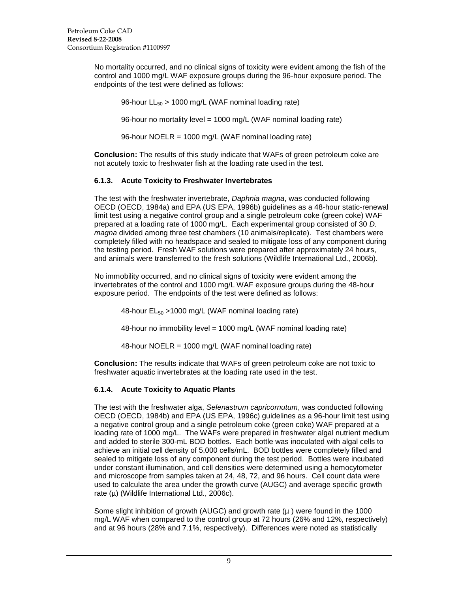No mortality occurred, and no clinical signs of toxicity were evident among the fish of the control and 1000 mg/L WAF exposure groups during the 96-hour exposure period. The endpoints of the test were defined as follows:

96-hour  $LL_{50} > 1000$  mg/L (WAF nominal loading rate)

96-hour no mortality level = 1000 mg/L (WAF nominal loading rate)

96-hour NOELR = 1000 mg/L (WAF nominal loading rate)

**Conclusion:** The results of this study indicate that WAFs of green petroleum coke are not acutely toxic to freshwater fish at the loading rate used in the test.

## <span id="page-14-0"></span>**6.1.3. Acute Toxicity to Freshwater Invertebrates**

The test with the freshwater invertebrate, *Daphnia magna*, was conducted following OECD (OECD, 1984a) and EPA (US EPA, 1996b) guidelines as a 48-hour static-renewal limit test using a negative control group and a single petroleum coke (green coke) WAF prepared at a loading rate of 1000 mg/L. Each experimental group consisted of 30 *D. magna* divided among three test chambers (10 animals/replicate). Test chambers were completely filled with no headspace and sealed to mitigate loss of any component during the testing period. Fresh WAF solutions were prepared after approximately 24 hours, and animals were transferred to the fresh solutions (Wildlife International Ltd., 2006b).

No immobility occurred, and no clinical signs of toxicity were evident among the invertebrates of the control and 1000 mg/L WAF exposure groups during the 48-hour exposure period. The endpoints of the test were defined as follows:

48-hour EL<sup>50</sup> >1000 mg/L (WAF nominal loading rate)

48-hour no immobility level = 1000 mg/L (WAF nominal loading rate)

48-hour NOELR = 1000 mg/L (WAF nominal loading rate)

**Conclusion:** The results indicate that WAFs of green petroleum coke are not toxic to freshwater aquatic invertebrates at the loading rate used in the test.

#### <span id="page-14-1"></span>**6.1.4. Acute Toxicity to Aquatic Plants**

The test with the freshwater alga, *Selenastrum capricornutum*, was conducted following OECD (OECD, 1984b) and EPA (US EPA, 1996c) guidelines as a 96-hour limit test using a negative control group and a single petroleum coke (green coke) WAF prepared at a loading rate of 1000 mg/L. The WAFs were prepared in freshwater algal nutrient medium and added to sterile 300-mL BOD bottles. Each bottle was inoculated with algal cells to achieve an initial cell density of 5,000 cells/mL. BOD bottles were completely filled and sealed to mitigate loss of any component during the test period. Bottles were incubated under constant illumination, and cell densities were determined using a hemocytometer and microscope from samples taken at 24, 48, 72, and 96 hours. Cell count data were used to calculate the area under the growth curve (AUGC) and average specific growth rate  $(\mu)$  (Wildlife International Ltd., 2006c).

Some slight inhibition of growth (AUGC) and growth rate  $(\mu)$  were found in the 1000 mg/L WAF when compared to the control group at 72 hours (26% and 12%, respectively) and at 96 hours (28% and 7.1%, respectively). Differences were noted as statistically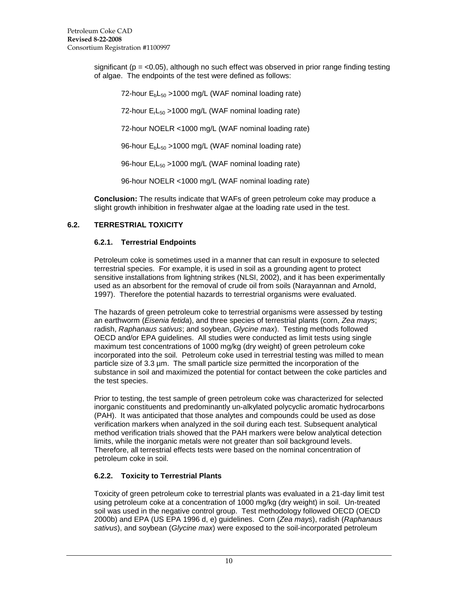significant ( $p = < 0.05$ ), although no such effect was observed in prior range finding testing of algae. The endpoints of the test were defined as follows:

72-hour  $E_bL_{50} > 1000$  mg/L (WAF nominal loading rate) 72-hour  $E<sub>r</sub>L<sub>50</sub>$  >1000 mg/L (WAF nominal loading rate) 72-hour NOELR <1000 mg/L (WAF nominal loading rate) 96-hour  $E_bL_{50} > 1000$  mg/L (WAF nominal loading rate) 96-hour  $E_rL_{50} > 1000$  mg/L (WAF nominal loading rate)

96-hour NOELR <1000 mg/L (WAF nominal loading rate)

**Conclusion:** The results indicate that WAFs of green petroleum coke may produce a slight growth inhibition in freshwater algae at the loading rate used in the test.

# <span id="page-15-1"></span><span id="page-15-0"></span>**6.2. TERRESTRIAL TOXICITY**

# **6.2.1. Terrestrial Endpoints**

Petroleum coke is sometimes used in a manner that can result in exposure to selected terrestrial species. For example, it is used in soil as a grounding agent to protect sensitive installations from lightning strikes (NLSI, 2002), and it has been experimentally used as an absorbent for the removal of crude oil from soils (Narayannan and Arnold, 1997). Therefore the potential hazards to terrestrial organisms were evaluated.

The hazards of green petroleum coke to terrestrial organisms were assessed by testing an earthworm (*Eisenia fetida*), and three species of terrestrial plants (corn, *Zea mays*; radish, *Raphanaus sativus*; and soybean, *Glycine max*). Testing methods followed OECD and/or EPA guidelines. All studies were conducted as limit tests using single maximum test concentrations of 1000 mg/kg (dry weight) of green petroleum coke incorporated into the soil. Petroleum coke used in terrestrial testing was milled to mean particle size of 3.3 µm. The small particle size permitted the incorporation of the substance in soil and maximized the potential for contact between the coke particles and the test species.

Prior to testing, the test sample of green petroleum coke was characterized for selected inorganic constituents and predominantly un-alkylated polycyclic aromatic hydrocarbons (PAH). It was anticipated that those analytes and compounds could be used as dose verification markers when analyzed in the soil during each test. Subsequent analytical method verification trials showed that the PAH markers were below analytical detection limits, while the inorganic metals were not greater than soil background levels. Therefore, all terrestrial effects tests were based on the nominal concentration of petroleum coke in soil.

# <span id="page-15-2"></span>**6.2.2. Toxicity to Terrestrial Plants**

Toxicity of green petroleum coke to terrestrial plants was evaluated in a 21-day limit test using petroleum coke at a concentration of 1000 mg/kg (dry weight) in soil. Un-treated soil was used in the negative control group. Test methodology followed OECD (OECD 2000b) and EPA (US EPA 1996 d, e) guidelines. Corn (*Zea mays*), radish (*Raphanaus sativus*), and soybean (*Glycine max*) were exposed to the soil-incorporated petroleum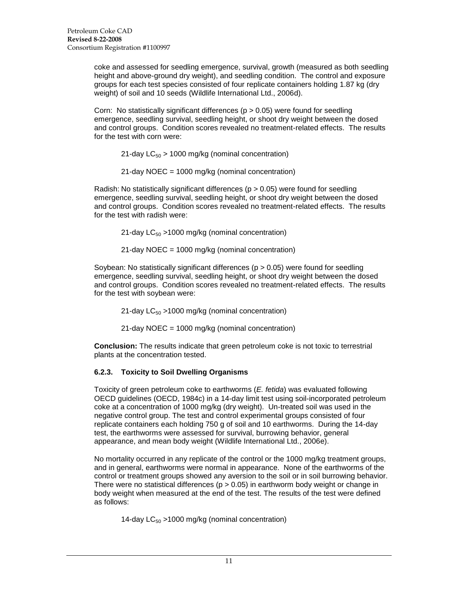coke and assessed for seedling emergence, survival, growth (measured as both seedling height and above-ground dry weight), and seedling condition. The control and exposure groups for each test species consisted of four replicate containers holding 1.87 kg (dry weight) of soil and 10 seeds (Wildlife International Ltd., 2006d).

Corn: No statistically significant differences ( $p > 0.05$ ) were found for seedling emergence, seedling survival, seedling height, or shoot dry weight between the dosed and control groups. Condition scores revealed no treatment-related effects. The results for the test with corn were:

21-day  $LC_{50}$  > 1000 mg/kg (nominal concentration)

21-day NOEC = 1000 mg/kg (nominal concentration)

Radish: No statistically significant differences ( $p > 0.05$ ) were found for seedling emergence, seedling survival, seedling height, or shoot dry weight between the dosed and control groups. Condition scores revealed no treatment-related effects. The results for the test with radish were:

21-day  $LC_{50}$  >1000 mg/kg (nominal concentration)

21-day NOEC = 1000 mg/kg (nominal concentration)

Soybean: No statistically significant differences  $(p > 0.05)$  were found for seedling emergence, seedling survival, seedling height, or shoot dry weight between the dosed and control groups. Condition scores revealed no treatment-related effects. The results for the test with soybean were:

21-day  $LC_{50}$  >1000 mg/kg (nominal concentration)

21-day NOEC = 1000 mg/kg (nominal concentration)

**Conclusion:** The results indicate that green petroleum coke is not toxic to terrestrial plants at the concentration tested.

#### <span id="page-16-0"></span>**6.2.3. Toxicity to Soil Dwelling Organisms**

Toxicity of green petroleum coke to earthworms (*E. fetida*) was evaluated following OECD guidelines (OECD, 1984c) in a 14-day limit test using soil-incorporated petroleum coke at a concentration of 1000 mg/kg (dry weight). Un-treated soil was used in the negative control group. The test and control experimental groups consisted of four replicate containers each holding 750 g of soil and 10 earthworms. During the 14-day test, the earthworms were assessed for survival, burrowing behavior, general appearance, and mean body weight (Wildlife International Ltd., 2006e).

No mortality occurred in any replicate of the control or the 1000 mg/kg treatment groups, and in general, earthworms were normal in appearance. None of the earthworms of the control or treatment groups showed any aversion to the soil or in soil burrowing behavior. There were no statistical differences ( $p > 0.05$ ) in earthworm body weight or change in body weight when measured at the end of the test. The results of the test were defined as follows:

14-day  $LC_{50}$  >1000 mg/kg (nominal concentration)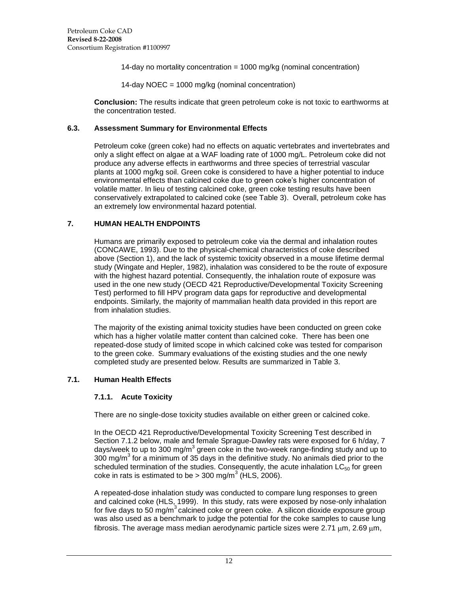14-day no mortality concentration = 1000 mg/kg (nominal concentration)

14-day NOEC = 1000 mg/kg (nominal concentration)

**Conclusion:** The results indicate that green petroleum coke is not toxic to earthworms at the concentration tested.

#### **6.3. Assessment Summary for Environmental Effects**

Petroleum coke (green coke) had no effects on aquatic vertebrates and invertebrates and only a slight effect on algae at a WAF loading rate of 1000 mg/L. Petroleum coke did not produce any adverse effects in earthworms and three species of terrestrial vascular plants at 1000 mg/kg soil. Green coke is considered to have a higher potential to induce environmental effects than calcined coke due to green coke"s higher concentration of volatile matter. In lieu of testing calcined coke, green coke testing results have been conservatively extrapolated to calcined coke (see Table 3). Overall, petroleum coke has an extremely low environmental hazard potential.

#### **7. HUMAN HEALTH ENDPOINTS**

Humans are primarily exposed to petroleum coke via the dermal and inhalation routes (CONCAWE, 1993). Due to the physical-chemical characteristics of coke described above (Section 1), and the lack of systemic toxicity observed in a mouse lifetime dermal study (Wingate and Hepler, 1982), inhalation was considered to be the route of exposure with the highest hazard potential. Consequently, the inhalation route of exposure was used in the one new study (OECD 421 Reproductive/Developmental Toxicity Screening Test) performed to fill HPV program data gaps for reproductive and developmental endpoints. Similarly, the majority of mammalian health data provided in this report are from inhalation studies.

The majority of the existing animal toxicity studies have been conducted on green coke which has a higher volatile matter content than calcined coke. There has been one repeated-dose study of limited scope in which calcined coke was tested for comparison to the green coke. Summary evaluations of the existing studies and the one newly completed study are presented below. Results are summarized in Table 3.

#### <span id="page-17-1"></span><span id="page-17-0"></span>**7.1. Human Health Effects**

#### **7.1.1. Acute Toxicity**

There are no single-dose toxicity studies available on either green or calcined coke.

In the OECD 421 Reproductive/Developmental Toxicity Screening Test described in Section 7.1.2 below, male and female Sprague-Dawley rats were exposed for 6 h/day, 7 days/week to up to 300 mg/m<sup>3</sup> green coke in the two-week range-finding study and up to 300 mg/m<sup>3</sup> for a minimum of 35 days in the definitive study. No animals died prior to the scheduled termination of the studies. Consequently, the acute inhalation  $LC_{50}$  for green coke in rats is estimated to be > 300 mg/m<sup>3</sup> (HLS, 2006).

A repeated-dose inhalation study was conducted to compare lung responses to green and calcined coke (HLS, 1999). In this study, rats were exposed by nose-only inhalation for five days to 50 mg/m<sup>3</sup> calcined coke or green coke. A silicon dioxide exposure group was also used as a benchmark to judge the potential for the coke samples to cause lung fibrosis. The average mass median aerodynamic particle sizes were  $2.71 \text{ µm}$ ,  $2.69 \text{ µm}$ ,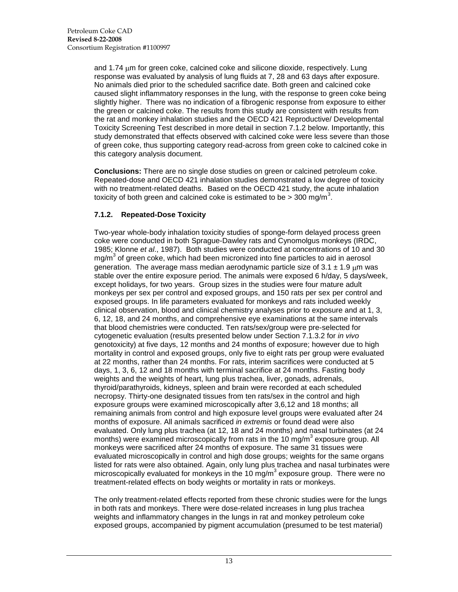and 1.74  $\mu$ m for green coke, calcined coke and silicone dioxide, respectively. Lung response was evaluated by analysis of lung fluids at 7, 28 and 63 days after exposure. No animals died prior to the scheduled sacrifice date. Both green and calcined coke caused slight inflammatory responses in the lung, with the response to green coke being slightly higher. There was no indication of a fibrogenic response from exposure to either the green or calcined coke. The results from this study are consistent with results from the rat and monkey inhalation studies and the OECD 421 Reproductive/ Developmental Toxicity Screening Test described in more detail in section 7.1.2 below. Importantly, this study demonstrated that effects observed with calcined coke were less severe than those of green coke, thus supporting category read-across from green coke to calcined coke in this category analysis document.

**Conclusions:** There are no single dose studies on green or calcined petroleum coke. Repeated-dose and OECD 421 inhalation studies demonstrated a low degree of toxicity with no treatment-related deaths. Based on the OECD 421 study, the acute inhalation toxicity of both green and calcined coke is estimated to be > 300 mg/m<sup>3</sup>.

# <span id="page-18-0"></span>**7.1.2. Repeated-Dose Toxicity**

Two-year whole-body inhalation toxicity studies of sponge-form delayed process green coke were conducted in both Sprague-Dawley rats and Cynomolgus monkeys (IRDC, 1985; Klonne *et al*., 1987). Both studies were conducted at concentrations of 10 and 30 mg/m $3$  of green coke, which had been micronized into fine particles to aid in aerosol generation. The average mass median aerodynamic particle size of  $3.1 \pm 1.9$  um was stable over the entire exposure period. The animals were exposed 6 h/day, 5 days/week, except holidays, for two years. Group sizes in the studies were four mature adult monkeys per sex per control and exposed groups, and 150 rats per sex per control and exposed groups. In life parameters evaluated for monkeys and rats included weekly clinical observation, blood and clinical chemistry analyses prior to exposure and at 1, 3, 6, 12, 18, and 24 months, and comprehensive eye examinations at the same intervals that blood chemistries were conducted. Ten rats/sex/group were pre-selected for cytogenetic evaluation (results presented below under Section 7.1.3.2 for *in vivo* genotoxicity) at five days, 12 months and 24 months of exposure; however due to high mortality in control and exposed groups, only five to eight rats per group were evaluated at 22 months, rather than 24 months. For rats, interim sacrifices were conducted at 5 days, 1, 3, 6, 12 and 18 months with terminal sacrifice at 24 months. Fasting body weights and the weights of heart, lung plus trachea, liver, gonads, adrenals, thyroid/parathyroids, kidneys, spleen and brain were recorded at each scheduled necropsy. Thirty-one designated tissues from ten rats/sex in the control and high exposure groups were examined microscopically after 3,6,12 and 18 months; all remaining animals from control and high exposure level groups were evaluated after 24 months of exposure. All animals sacrificed *in extremis* or found dead were also evaluated. Only lung plus trachea (at 12, 18 and 24 months) and nasal turbinates (at 24 months) were examined microscopically from rats in the 10 mg/m<sup>3</sup> exposure group. All monkeys were sacrificed after 24 months of exposure. The same 31 tissues were evaluated microscopically in control and high dose groups; weights for the same organs listed for rats were also obtained. Again, only lung plus trachea and nasal turbinates were microscopically evaluated for monkeys in the 10 mg/m<sup>3</sup> exposure group. There were no treatment-related effects on body weights or mortality in rats or monkeys.

The only treatment-related effects reported from these chronic studies were for the lungs in both rats and monkeys. There were dose-related increases in lung plus trachea weights and inflammatory changes in the lungs in rat and monkey petroleum coke exposed groups, accompanied by pigment accumulation (presumed to be test material)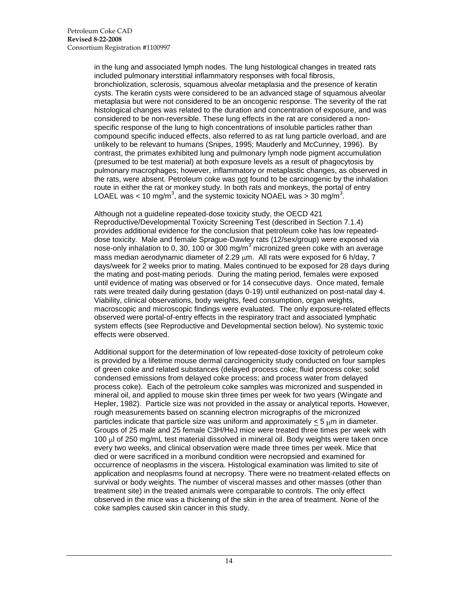in the lung and associated lymph nodes. The lung histological changes in treated rats included pulmonary interstitial inflammatory responses with focal fibrosis, bronchiolization, sclerosis, squamous alveolar metaplasia and the presence of keratin cysts. The keratin cysts were considered to be an advanced stage of squamous alveolar metaplasia but were not considered to be an oncogenic response. The severity of the rat histological changes was related to the duration and concentration of exposure, and was considered to be non-reversible. These lung effects in the rat are considered a nonspecific response of the lung to high concentrations of insoluble particles rather than compound specific induced effects, also referred to as rat lung particle overload, and are unlikely to be relevant to humans (Snipes, 1995; Mauderly and McCunney, 1996). By contrast, the primates exhibited lung and pulmonary lymph node pigment accumulation (presumed to be test material) at both exposure levels as a result of phagocytosis by pulmonary macrophages; however, inflammatory or metaplastic changes, as observed in the rats, were absent. Petroleum coke was not found to be carcinogenic by the inhalation route in either the rat or monkey study. In both rats and monkeys, the portal of entry LOAEL was < 10 mg/m<sup>3</sup>, and the systemic toxicity NOAEL was > 30 mg/m<sup>3</sup>.

Although not a guideline repeated-dose toxicity study, the OECD 421 Reproductive/Developmental Toxicity Screening Test (described in Section 7.1.4) provides additional evidence for the conclusion that petroleum coke has low repeateddose toxicity. Male and female Sprague-Dawley rats (12/sex/group) were exposed via nose-only inhalation to 0, 30, 100 or 300 mg/m<sup>3</sup> micronized green coke with an average mass median aerodynamic diameter of 2.29  $µm$ . All rats were exposed for 6 h/day, 7 days/week for 2 weeks prior to mating. Males continued to be exposed for 28 days during the mating and post-mating periods. During the mating period, females were exposed until evidence of mating was observed or for 14 consecutive days. Once mated, female rats were treated daily during gestation (days 0-19) until euthanized on post-natal day 4. Viability, clinical observations, body weights, feed consumption, organ weights, macroscopic and microscopic findings were evaluated. The only exposure-related effects observed were portal-of-entry effects in the respiratory tract and associated lymphatic system effects (see Reproductive and Developmental section below). No systemic toxic effects were observed.

Additional support for the determination of low repeated-dose toxicity of petroleum coke is provided by a lifetime mouse dermal carcinogenicity study conducted on four samples of green coke and related substances (delayed process coke; fluid process coke; solid condensed emissions from delayed coke process; and process water from delayed process coke). Each of the petroleum coke samples was micronized and suspended in mineral oil, and applied to mouse skin three times per week for two years (Wingate and Hepler, 1982). Particle size was not provided in the assay or analytical reports. However, rough measurements based on scanning electron micrographs of the micronized particles indicate that particle size was uniform and approximately  $< 5 \mu m$  in diameter. Groups of 25 male and 25 female C3H/HeJ mice were treated three times per week with 100 ul of 250 mg/mL test material dissolved in mineral oil. Body weights were taken once every two weeks, and clinical observation were made three times per week. Mice that died or were sacrificed in a moribund condition were necropsied and examined for occurrence of neoplasms in the viscera. Histological examination was limited to site of application and neoplasms found at necropsy. There were no treatment-related effects on survival or body weights. The number of visceral masses and other masses (other than treatment site) in the treated animals were comparable to controls. The only effect observed in the mice was a thickening of the skin in the area of treatment. None of the coke samples caused skin cancer in this study.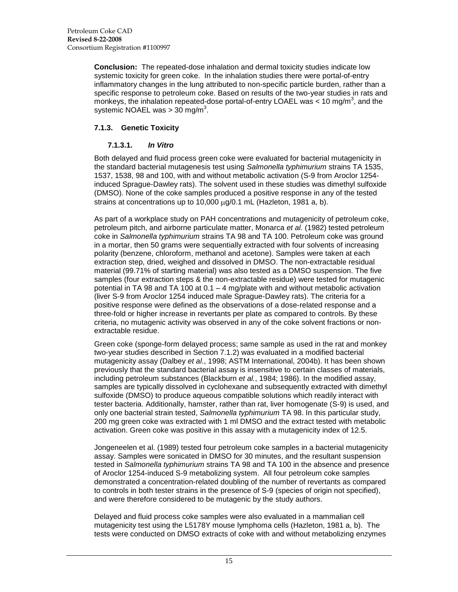**Conclusion:** The repeated-dose inhalation and dermal toxicity studies indicate low systemic toxicity for green coke. In the inhalation studies there were portal-of-entry inflammatory changes in the lung attributed to non-specific particle burden, rather than a specific response to petroleum coke. Based on results of the two-year studies in rats and monkeys, the inhalation repeated-dose portal-of-entry LOAEL was < 10 mg/m<sup>3</sup>, and the systemic NOAEL was > 30 mg/m<sup>3</sup>.

## <span id="page-20-1"></span><span id="page-20-0"></span>**7.1.3. Genetic Toxicity**

### **7.1.3.1.** *In Vitro*

Both delayed and fluid process green coke were evaluated for bacterial mutagenicity in the standard bacterial mutagenesis test using *Salmonella typhimurium* strains TA 1535, 1537, 1538, 98 and 100, with and without metabolic activation (S-9 from Aroclor 1254 induced Sprague-Dawley rats). The solvent used in these studies was dimethyl sulfoxide (DMSO). None of the coke samples produced a positive response in any of the tested strains at concentrations up to  $10,000 \mu g/0.1 \text{ mL}$  (Hazleton, 1981 a, b).

As part of a workplace study on PAH concentrations and mutagenicity of petroleum coke, petroleum pitch, and airborne particulate matter, Monarca *et al.* (1982) tested petroleum coke in *Salmonella typhimurium* strains TA 98 and TA 100. Petroleum coke was ground in a mortar, then 50 grams were sequentially extracted with four solvents of increasing polarity (benzene, chloroform, methanol and acetone). Samples were taken at each extraction step, dried, weighed and dissolved in DMSO. The non-extractable residual material (99.71% of starting material) was also tested as a DMSO suspension. The five samples (four extraction steps & the non-extractable residue) were tested for mutagenic potential in TA 98 and TA 100 at 0.1 – 4 mg/plate with and without metabolic activation (liver S-9 from Aroclor 1254 induced male Sprague-Dawley rats). The criteria for a positive response were defined as the observations of a dose-related response and a three-fold or higher increase in revertants per plate as compared to controls. By these criteria, no mutagenic activity was observed in any of the coke solvent fractions or nonextractable residue.

Green coke (sponge-form delayed process; same sample as used in the rat and monkey two-year studies described in Section 7.1.2) was evaluated in a modified bacterial mutagenicity assay (Dalbey *et al*., 1998; ASTM International, 2004b). It has been shown previously that the standard bacterial assay is insensitive to certain classes of materials, including petroleum substances (Blackburn *et al.*, 1984; 1986). In the modified assay, samples are typically dissolved in cyclohexane and subsequently extracted with dimethyl sulfoxide (DMSO) to produce aqueous compatible solutions which readily interact with tester bacteria. Additionally, hamster, rather than rat, liver homogenate (S-9) is used, and only one bacterial strain tested, *Salmonella typhimurium* TA 98. In this particular study, 200 mg green coke was extracted with 1 ml DMSO and the extract tested with metabolic activation. Green coke was positive in this assay with a mutagenicity index of 12.5.

Jongeneelen et al. (1989) tested four petroleum coke samples in a bacterial mutagenicity assay. Samples were sonicated in DMSO for 30 minutes, and the resultant suspension tested in *Salmonella typhimurium* strains TA 98 and TA 100 in the absence and presence of Aroclor 1254-induced S-9 metabolizing system. All four petroleum coke samples demonstrated a concentration-related doubling of the number of revertants as compared to controls in both tester strains in the presence of S-9 (species of origin not specified), and were therefore considered to be mutagenic by the study authors.

Delayed and fluid process coke samples were also evaluated in a mammalian cell mutagenicity test using the L5178Y mouse lymphoma cells (Hazleton, 1981 a, b). The tests were conducted on DMSO extracts of coke with and without metabolizing enzymes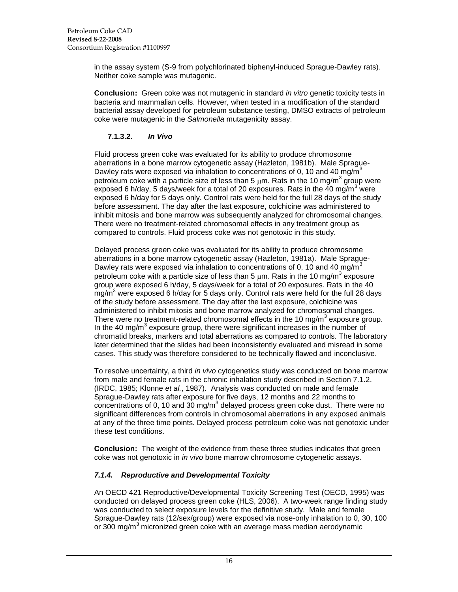in the assay system (S-9 from polychlorinated biphenyl-induced Sprague-Dawley rats). Neither coke sample was mutagenic.

**Conclusion:** Green coke was not mutagenic in standard *in vitro* genetic toxicity tests in bacteria and mammalian cells. However, when tested in a modification of the standard bacterial assay developed for petroleum substance testing, DMSO extracts of petroleum coke were mutagenic in the *Salmonella* mutagenicity assay.

## **7.1.3.2.** *In Vivo*

<span id="page-21-0"></span>Fluid process green coke was evaluated for its ability to produce chromosome aberrations in a bone marrow cytogenetic assay (Hazleton, 1981b). Male Sprague-Dawley rats were exposed via inhalation to concentrations of 0, 10 and 40 mg/m<sup>3</sup> petroleum coke with a particle size of less than 5  $\mu$ m. Rats in the 10 mg/m<sup>3</sup> group were exposed 6 h/day, 5 days/week for a total of 20 exposures. Rats in the 40 mg/m<sup>3</sup> were exposed 6 h/day for 5 days only. Control rats were held for the full 28 days of the study before assessment. The day after the last exposure, colchicine was administered to inhibit mitosis and bone marrow was subsequently analyzed for chromosomal changes. There were no treatment-related chromosomal effects in any treatment group as compared to controls. Fluid process coke was not genotoxic in this study.

Delayed process green coke was evaluated for its ability to produce chromosome aberrations in a bone marrow cytogenetic assay (Hazleton, 1981a). Male Sprague-Dawley rats were exposed via inhalation to concentrations of 0, 10 and 40 mg/m<sup>3</sup> petroleum coke with a particle size of less than 5  $\mu$ m. Rats in the 10 mg/m<sup>3</sup> exposure group were exposed 6 h/day, 5 days/week for a total of 20 exposures. Rats in the 40 mg/m<sup>3</sup> were exposed 6 h/day for 5 days only. Control rats were held for the full 28 days of the study before assessment. The day after the last exposure, colchicine was administered to inhibit mitosis and bone marrow analyzed for chromosomal changes. There were no treatment-related chromosomal effects in the 10 mg/m<sup>3</sup> exposure group. In the 40 mg/m<sup>3</sup> exposure group, there were significant increases in the number of chromatid breaks, markers and total aberrations as compared to controls. The laboratory later determined that the slides had been inconsistently evaluated and misread in some cases. This study was therefore considered to be technically flawed and inconclusive.

To resolve uncertainty, a third *in vivo* cytogenetics study was conducted on bone marrow from male and female rats in the chronic inhalation study described in Section 7.1.2. (IRDC, 1985; Klonne *et al.*, 1987). Analysis was conducted on male and female Sprague-Dawley rats after exposure for five days, 12 months and 22 months to concentrations of 0, 10 and 30 mg/m<sup>3</sup> delayed process green coke dust. There were no significant differences from controls in chromosomal aberrations in any exposed animals at any of the three time points. Delayed process petroleum coke was not genotoxic under these test conditions.

**Conclusion:** The weight of the evidence from these three studies indicates that green coke was not genotoxic in *in vivo* bone marrow chromosome cytogenetic assays.

# <span id="page-21-1"></span>*7.1.4. Reproductive and Developmental Toxicity*

An OECD 421 Reproductive/Developmental Toxicity Screening Test (OECD, 1995) was conducted on delayed process green coke (HLS, 2006). A two-week range finding study was conducted to select exposure levels for the definitive study. Male and female Sprague-Dawley rats (12/sex/group) were exposed via nose-only inhalation to 0, 30, 100 or 300 mg/m<sup>3</sup> micronized green coke with an average mass median aerodynamic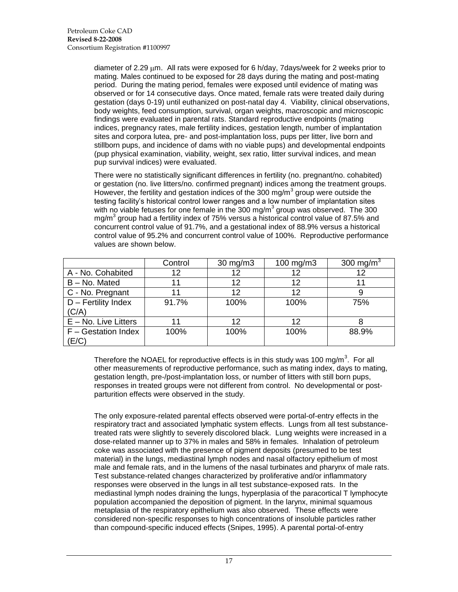diameter of 2.29  $\mu$ m. All rats were exposed for 6 h/day, 7days/week for 2 weeks prior to mating. Males continued to be exposed for 28 days during the mating and post-mating period. During the mating period, females were exposed until evidence of mating was observed or for 14 consecutive days. Once mated, female rats were treated daily during gestation (days 0-19) until euthanized on post-natal day 4. Viability, clinical observations, body weights, feed consumption, survival, organ weights, macroscopic and microscopic findings were evaluated in parental rats. Standard reproductive endpoints (mating indices, pregnancy rates, male fertility indices, gestation length, number of implantation sites and corpora lutea, pre- and post-implantation loss, pups per litter, live born and stillborn pups, and incidence of dams with no viable pups) and developmental endpoints (pup physical examination, viability, weight, sex ratio, litter survival indices, and mean pup survival indices) were evaluated.

There were no statistically significant differences in fertility (no. pregnant/no. cohabited) or gestation (no. live litters/no. confirmed pregnant) indices among the treatment groups. However, the fertility and gestation indices of the 300 mg/m<sup>3</sup> group were outside the testing facility"s historical control lower ranges and a low number of implantation sites with no viable fetuses for one female in the 300 mg/m<sup>3</sup> group was observed. The 300 mg/m<sup>3</sup> group had a fertility index of 75% versus a historical control value of 87.5% and concurrent control value of 91.7%, and a gestational index of 88.9% versus a historical control value of 95.2% and concurrent control value of 100%. Reproductive performance values are shown below.

|                         | Control | 30 mg/m3 | 100 mg/m3 | 300 mg/m <sup>3</sup> |
|-------------------------|---------|----------|-----------|-----------------------|
| A - No. Cohabited       | 12      | 12       | 12        | 12                    |
| B - No. Mated           |         | 12       | 12        |                       |
| C - No. Pregnant        |         | 12       | 12        |                       |
| D - Fertility Index     | 91.7%   | 100%     | 100%      | 75%                   |
| (C/A)                   |         |          |           |                       |
| $E - No$ . Live Litters |         | 12       | 12        |                       |
| F - Gestation Index     | 100%    | 100%     | 100%      | 88.9%                 |
| (E/C)                   |         |          |           |                       |

Therefore the NOAEL for reproductive effects is in this study was 100 mg/m<sup>3</sup>. For all other measurements of reproductive performance, such as mating index, days to mating, gestation length, pre-/post-implantation loss, or number of litters with still born pups, responses in treated groups were not different from control. No developmental or postparturition effects were observed in the study.

The only exposure-related parental effects observed were portal-of-entry effects in the respiratory tract and associated lymphatic system effects. Lungs from all test substancetreated rats were slightly to severely discolored black. Lung weights were increased in a dose-related manner up to 37% in males and 58% in females. Inhalation of petroleum coke was associated with the presence of pigment deposits (presumed to be test material) in the lungs, mediastinal lymph nodes and nasal olfactory epithelium of most male and female rats, and in the lumens of the nasal turbinates and pharynx of male rats. Test substance-related changes characterized by proliferative and/or inflammatory responses were observed in the lungs in all test substance-exposed rats. In the mediastinal lymph nodes draining the lungs, hyperplasia of the paracortical T lymphocyte population accompanied the deposition of pigment. In the larynx, minimal squamous metaplasia of the respiratory epithelium was also observed. These effects were considered non-specific responses to high concentrations of insoluble particles rather than compound-specific induced effects (Snipes, 1995). A parental portal-of-entry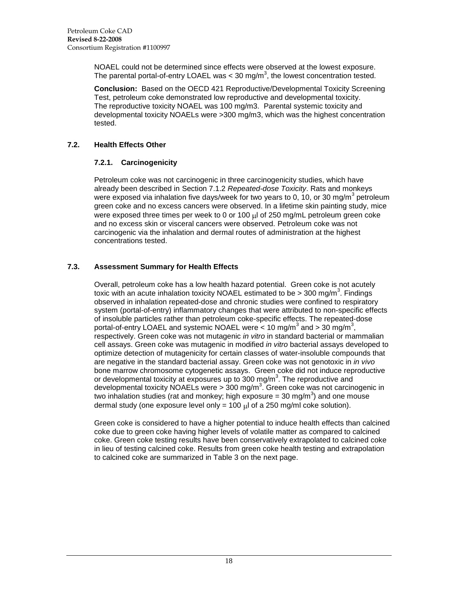NOAEL could not be determined since effects were observed at the lowest exposure. The parental portal-of-entry LOAEL was < 30 mg/m<sup>3</sup>, the lowest concentration tested.

**Conclusion:** Based on the OECD 421 Reproductive/Developmental Toxicity Screening Test, petroleum coke demonstrated low reproductive and developmental toxicity. The reproductive toxicity NOAEL was 100 mg/m3. Parental systemic toxicity and developmental toxicity NOAELs were >300 mg/m3, which was the highest concentration tested.

## <span id="page-23-1"></span><span id="page-23-0"></span>**7.2. Health Effects Other**

## **7.2.1. Carcinogenicity**

Petroleum coke was not carcinogenic in three carcinogenicity studies, which have already been described in Section 7.1.2 *Repeated-dose Toxicity*. Rats and monkeys were exposed via inhalation five days/week for two years to 0, 10, or 30 mg/m<sup>3</sup> petroleum green coke and no excess cancers were observed. In a lifetime skin painting study, mice were exposed three times per week to 0 or 100 ul of 250 mg/mL petroleum green coke and no excess skin or visceral cancers were observed. Petroleum coke was not carcinogenic via the inhalation and dermal routes of administration at the highest concentrations tested.

# <span id="page-23-2"></span>**7.3. Assessment Summary for Health Effects**

Overall, petroleum coke has a low health hazard potential. Green coke is not acutely toxic with an acute inhalation toxicity NOAEL estimated to be > 300 mg/m<sup>3</sup>. Findings observed in inhalation repeated-dose and chronic studies were confined to respiratory system (portal-of-entry) inflammatory changes that were attributed to non-specific effects of insoluble particles rather than petroleum coke-specific effects. The repeated-dose portal-of-entry LOAEL and systemic NOAEL were  $<$  10 mg/m<sup>3</sup> and > 30 mg/m<sup>3</sup>, respectively. Green coke was not mutagenic *in vitro* in standard bacterial or mammalian cell assays. Green coke was mutagenic in modified *in vitro* bacterial assays developed to optimize detection of mutagenicity for certain classes of water-insoluble compounds that are negative in the standard bacterial assay. Green coke was not genotoxic in *in vivo* bone marrow chromosome cytogenetic assays. Green coke did not induce reproductive or developmental toxicity at exposures up to 300 mg/m<sup>3</sup>. The reproductive and developmental toxicity NOAELs were > 300 mg/m<sup>3</sup>. Green coke was not carcinogenic in two inhalation studies (rat and monkey; high exposure = 30 mg/m<sup>3</sup>) and one mouse dermal study (one exposure level only = 100  $\mu$  of a 250 mg/ml coke solution).

Green coke is considered to have a higher potential to induce health effects than calcined coke due to green coke having higher levels of volatile matter as compared to calcined coke. Green coke testing results have been conservatively extrapolated to calcined coke in lieu of testing calcined coke. Results from green coke health testing and extrapolation to calcined coke are summarized in Table 3 on the next page.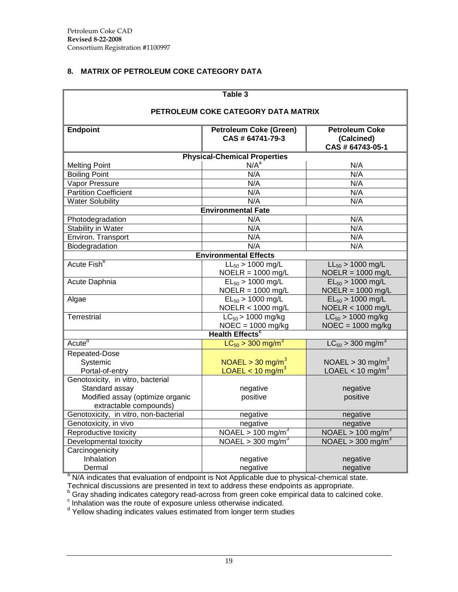# <span id="page-24-0"></span>**8. MATRIX OF PETROLEUM COKE CATEGORY DATA**

| Table 3                               |                                                   |                                   |  |  |  |  |  |  |
|---------------------------------------|---------------------------------------------------|-----------------------------------|--|--|--|--|--|--|
| PETROLEUM COKE CATEGORY DATA MATRIX   |                                                   |                                   |  |  |  |  |  |  |
| <b>Endpoint</b>                       | <b>Petroleum Coke (Green)</b><br>CAS # 64741-79-3 |                                   |  |  |  |  |  |  |
|                                       | <b>Physical-Chemical Properties</b>               |                                   |  |  |  |  |  |  |
| <b>Melting Point</b>                  | N/A <sup>a</sup>                                  | N/A                               |  |  |  |  |  |  |
| <b>Boiling Point</b>                  | N/A                                               | N/A                               |  |  |  |  |  |  |
| Vapor Pressure                        | N/A                                               | N/A                               |  |  |  |  |  |  |
| <b>Partition Coefficient</b>          | N/A                                               | N/A                               |  |  |  |  |  |  |
| <b>Water Solubility</b>               | N/A                                               | N/A                               |  |  |  |  |  |  |
|                                       | <b>Environmental Fate</b>                         |                                   |  |  |  |  |  |  |
| Photodegradation                      | N/A                                               | N/A                               |  |  |  |  |  |  |
| Stability in Water                    | N/A                                               | N/A                               |  |  |  |  |  |  |
| Environ. Transport                    | N/A                                               | N/A                               |  |  |  |  |  |  |
| Biodegradation                        | N/A                                               | N/A                               |  |  |  |  |  |  |
| <b>Environmental Effects</b>          |                                                   |                                   |  |  |  |  |  |  |
| Acute Fish <sup>b</sup>               | $LL_{50}$ > 1000 mg/L                             | $LL_{50}$ > 1000 mg/L             |  |  |  |  |  |  |
|                                       | $NOELR = 1000$ mg/L                               | $NOELR = 1000$ mg/L               |  |  |  |  |  |  |
| Acute Daphnia                         | $EL_{50} > 1000$ mg/L                             | $EL_{50} > 1000$ mg/L             |  |  |  |  |  |  |
|                                       | $NOELR = 1000$ mg/L                               | $NOELR = 1000$ mg/L               |  |  |  |  |  |  |
| Algae                                 | $EL_{50} > 1000$ mg/L                             | $EL_{50} > 1000$ mg/L             |  |  |  |  |  |  |
|                                       | NOELR < 1000 mg/L                                 | NOELR < 1000 mg/L                 |  |  |  |  |  |  |
| <b>Terrestrial</b>                    | $LC_{50}$ > 1000 mg/kg                            | $LC_{50}$ > 1000 mg/kg            |  |  |  |  |  |  |
|                                       | $NOEC = 1000$ mg/kg                               | $NOEC = 1000$ mg/kg               |  |  |  |  |  |  |
|                                       | <b>Health Effects<sup>c</sup></b>                 |                                   |  |  |  |  |  |  |
| Acute <sup>d</sup>                    | $LC_{50}$ > 300 mg/m <sup>3</sup>                 | $LC_{50}$ > 300 mg/m <sup>3</sup> |  |  |  |  |  |  |
| Repeated-Dose                         |                                                   |                                   |  |  |  |  |  |  |
| Systemic                              | $NOAEL > 30$ mg/m <sup>3</sup>                    | NOAEL > 30 mg/m <sup>3</sup>      |  |  |  |  |  |  |
| Portal-of-entry                       | LOAEL < $10 \text{ mg/m}^3$                       | LOAEL < 10 mg/m <sup>3</sup>      |  |  |  |  |  |  |
| Genotoxicity, in vitro, bacterial     |                                                   |                                   |  |  |  |  |  |  |
| Standard assay                        | negative                                          | negative                          |  |  |  |  |  |  |
| Modified assay (optimize organic      | positive                                          | positive                          |  |  |  |  |  |  |
| extractable compounds)                |                                                   |                                   |  |  |  |  |  |  |
| Genotoxicity, in vitro, non-bacterial | negative                                          | negative                          |  |  |  |  |  |  |
| Genotoxicity, in vivo                 | negative                                          | negative                          |  |  |  |  |  |  |
| Reproductive toxicity                 | $NOA\overline{EL}$ > 100 mg/m <sup>3</sup>        | NOAEL > 100 mg/m <sup>3</sup>     |  |  |  |  |  |  |
| Developmental toxicity                | NOAEL > 300 mg/m <sup>3</sup>                     | NOAEL > 300 mg/m <sup>3</sup>     |  |  |  |  |  |  |
| Carcinogenicity                       |                                                   |                                   |  |  |  |  |  |  |
| Inhalation                            | negative                                          | negative                          |  |  |  |  |  |  |
| Dermal                                | negative                                          | negative                          |  |  |  |  |  |  |

<sup>a</sup> N/A indicates that evaluation of endpoint is Not Applicable due to physical-chemical state.

Technical discussions are presented in text to address these endpoints as appropriate.

b Gray shading indicates category read-across from green coke empirical data to calcined coke.<br><sup>c</sup> Inhalation was the route of exposure unless otherwise indicated.<br><sup>d</sup> Yellow shading indicates values estimated from longer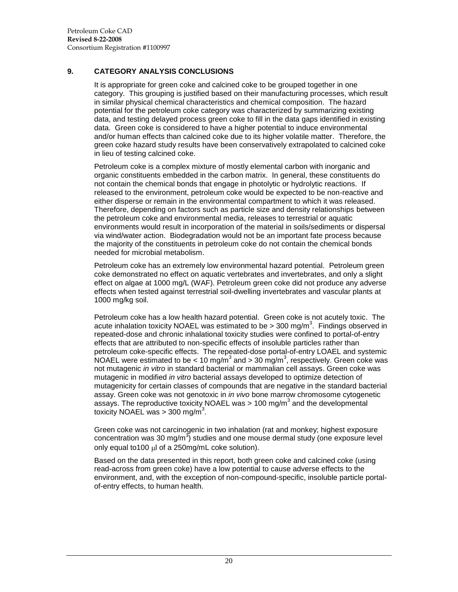## <span id="page-25-0"></span>**9. CATEGORY ANALYSIS CONCLUSIONS**

It is appropriate for green coke and calcined coke to be grouped together in one category. This grouping is justified based on their manufacturing processes, which result in similar physical chemical characteristics and chemical composition. The hazard potential for the petroleum coke category was characterized by summarizing existing data, and testing delayed process green coke to fill in the data gaps identified in existing data. Green coke is considered to have a higher potential to induce environmental and/or human effects than calcined coke due to its higher volatile matter. Therefore, the green coke hazard study results have been conservatively extrapolated to calcined coke in lieu of testing calcined coke.

Petroleum coke is a complex mixture of mostly elemental carbon with inorganic and organic constituents embedded in the carbon matrix. In general, these constituents do not contain the chemical bonds that engage in photolytic or hydrolytic reactions. If released to the environment, petroleum coke would be expected to be non-reactive and either disperse or remain in the environmental compartment to which it was released. Therefore, depending on factors such as particle size and density relationships between the petroleum coke and environmental media, releases to terrestrial or aquatic environments would result in incorporation of the material in soils/sediments or dispersal via wind/water action. Biodegradation would not be an important fate process because the majority of the constituents in petroleum coke do not contain the chemical bonds needed for microbial metabolism.

Petroleum coke has an extremely low environmental hazard potential. Petroleum green coke demonstrated no effect on aquatic vertebrates and invertebrates, and only a slight effect on algae at 1000 mg/L (WAF). Petroleum green coke did not produce any adverse effects when tested against terrestrial soil-dwelling invertebrates and vascular plants at 1000 mg/kg soil.

Petroleum coke has a low health hazard potential. Green coke is not acutely toxic. The acute inhalation toxicity NOAEL was estimated to be > 300 mg/m<sup>3</sup>. Findings observed in repeated-dose and chronic inhalational toxicity studies were confined to portal-of-entry effects that are attributed to non-specific effects of insoluble particles rather than petroleum coke-specific effects. The repeated-dose portal-of-entry LOAEL and systemic NOAEL were estimated to be < 10 mg/m<sup>3</sup> and > 30 mg/m<sup>3</sup>, respectively. Green coke was not mutagenic *in vitro* in standard bacterial or mammalian cell assays. Green coke was mutagenic in modified *in vitro* bacterial assays developed to optimize detection of mutagenicity for certain classes of compounds that are negative in the standard bacterial assay. Green coke was not genotoxic in *in vivo* bone marrow chromosome cytogenetic assays. The reproductive toxicity NOAEL was > 100 mg/m<sup>3</sup> and the developmental toxicity NOAEL was > 300 mg/m<sup>3</sup>.

Green coke was not carcinogenic in two inhalation (rat and monkey; highest exposure concentration was 30 mg/m<sup>3</sup>) studies and one mouse dermal study (one exposure level only equal to100  $\mu$  of a 250mg/mL coke solution).

Based on the data presented in this report, both green coke and calcined coke (using read-across from green coke) have a low potential to cause adverse effects to the environment, and, with the exception of non-compound-specific, insoluble particle portalof-entry effects, to human health.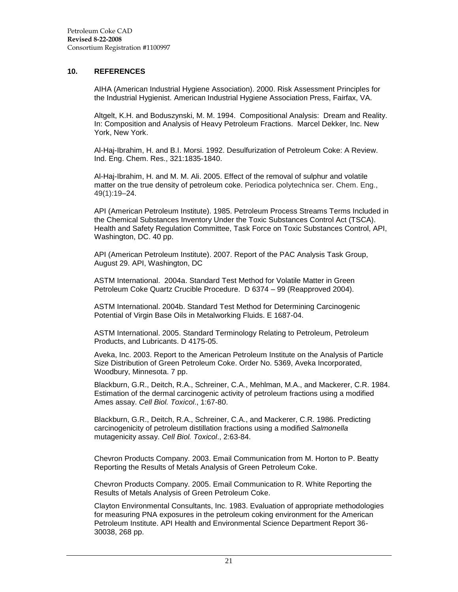#### <span id="page-26-0"></span>**10. REFERENCES**

AIHA (American Industrial Hygiene Association). 2000. Risk Assessment Principles for the Industrial Hygienist. American Industrial Hygiene Association Press, Fairfax, VA.

Altgelt, K.H. and Boduszynski, M. M. 1994. Compositional Analysis: Dream and Reality. In: Composition and Analysis of Heavy Petroleum Fractions. Marcel Dekker, Inc. New York, New York.

Al-Haj-Ibrahim, H. and B.I. Morsi. 1992. Desulfurization of Petroleum Coke: A Review. Ind. Eng. Chem. Res., 321:1835-1840.

Al-Haj-Ibrahim, H. and M. M. Ali. 2005. Effect of the removal of sulphur and volatile matter on the true density of petroleum coke. Periodica polytechnica ser. Chem. Eng., 49(1):19–24.

API (American Petroleum Institute). 1985. Petroleum Process Streams Terms Included in the Chemical Substances Inventory Under the Toxic Substances Control Act (TSCA). Health and Safety Regulation Committee, Task Force on Toxic Substances Control, API, Washington, DC. 40 pp.

API (American Petroleum Institute). 2007. Report of the PAC Analysis Task Group, August 29. API, Washington, DC

ASTM International. 2004a. Standard Test Method for Volatile Matter in Green Petroleum Coke Quartz Crucible Procedure. D 6374 – 99 (Reapproved 2004).

ASTM International. 2004b. Standard Test Method for Determining Carcinogenic Potential of Virgin Base Oils in Metalworking Fluids. E 1687-04.

ASTM International. 2005. Standard Terminology Relating to Petroleum, Petroleum Products, and Lubricants. D 4175-05.

Aveka, Inc. 2003. Report to the American Petroleum Institute on the Analysis of Particle Size Distribution of Green Petroleum Coke. Order No. 5369, Aveka Incorporated, Woodbury, Minnesota. 7 pp.

Blackburn, G.R., Deitch, R.A., Schreiner, C.A., Mehlman, M.A., and Mackerer, C.R. 1984. Estimation of the dermal carcinogenic activity of petroleum fractions using a modified Ames assay. *Cell Biol. Toxicol*., 1:67-80.

Blackburn, G.R., Deitch, R.A., Schreiner, C.A., and Mackerer, C.R. 1986. Predicting carcinogenicity of petroleum distillation fractions using a modified *Salmonella* mutagenicity assay. *Cell Biol. Toxicol*., 2:63-84.

Chevron Products Company. 2003. Email Communication from M. Horton to P. Beatty Reporting the Results of Metals Analysis of Green Petroleum Coke.

Chevron Products Company. 2005. Email Communication to R. White Reporting the Results of Metals Analysis of Green Petroleum Coke.

Clayton Environmental Consultants, Inc. 1983. Evaluation of appropriate methodologies for measuring PNA exposures in the petroleum coking environment for the American Petroleum Institute. API Health and Environmental Science Department Report 36- 30038, 268 pp.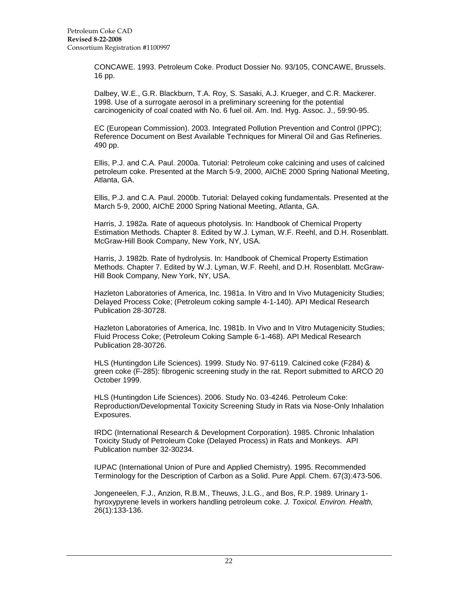CONCAWE. 1993. Petroleum Coke. Product Dossier No. 93/105, CONCAWE, Brussels. 16 pp.

Dalbey, W.E., G.R. Blackburn, T.A. Roy, S. Sasaki, A.J. Krueger, and C.R. Mackerer. 1998. Use of a surrogate aerosol in a preliminary screening for the potential carcinogenicity of coal coated with No. 6 fuel oil. Am. Ind. Hyg. Assoc. J., 59:90-95.

EC (European Commission). 2003. Integrated Pollution Prevention and Control (IPPC); Reference Document on Best Available Techniques for Mineral Oil and Gas Refineries. 490 pp.

Ellis, P.J. and C.A. Paul. 2000a. Tutorial: Petroleum coke calcining and uses of calcined petroleum coke. Presented at the March 5-9, 2000, AIChE 2000 Spring National Meeting, Atlanta, GA.

Ellis, P.J. and C.A. Paul. 2000b. Tutorial: Delayed coking fundamentals. Presented at the March 5-9, 2000, AIChE 2000 Spring National Meeting, Atlanta, GA.

Harris, J. 1982a. Rate of aqueous photolysis. In: Handbook of Chemical Property Estimation Methods. Chapter 8. Edited by W.J. Lyman, W.F. Reehl, and D.H. Rosenblatt. McGraw-Hill Book Company, New York, NY, USA.

Harris, J. 1982b. Rate of hydrolysis. In: Handbook of Chemical Property Estimation Methods. Chapter 7. Edited by W.J. Lyman, W.F. Reehl, and D.H. Rosenblatt. McGraw-Hill Book Company, New York, NY, USA.

Hazleton Laboratories of America, Inc. 1981a. In Vitro and In Vivo Mutagenicity Studies; Delayed Process Coke; (Petroleum coking sample 4-1-140). API Medical Research Publication 28-30728.

Hazleton Laboratories of America, Inc. 1981b. In Vivo and In Vitro Mutagenicity Studies; Fluid Process Coke; (Petroleum Coking Sample 6-1-468). API Medical Research Publication 28-30726.

HLS (Huntingdon Life Sciences). 1999. Study No. 97-6119. Calcined coke (F284) & green coke (F-285): fibrogenic screening study in the rat. Report submitted to ARCO 20 October 1999.

HLS (Huntingdon Life Sciences). 2006. Study No. 03-4246. Petroleum Coke: Reproduction/Developmental Toxicity Screening Study in Rats via Nose-Only Inhalation Exposures.

IRDC (International Research & Development Corporation). 1985. Chronic Inhalation Toxicity Study of Petroleum Coke (Delayed Process) in Rats and Monkeys. API Publication number 32-30234.

IUPAC (International Union of Pure and Applied Chemistry). 1995. Recommended Terminology for the Description of Carbon as a Solid. Pure Appl. Chem. 67(3):473-506.

Jongeneelen, F.J., Anzion, R.B.M., Theuws, J.L.G., and Bos, R.P. 1989. Urinary 1 hyroxypyrene levels in workers handling petroleum coke. *J. Toxicol. Environ. Health,* 26(1):133-136.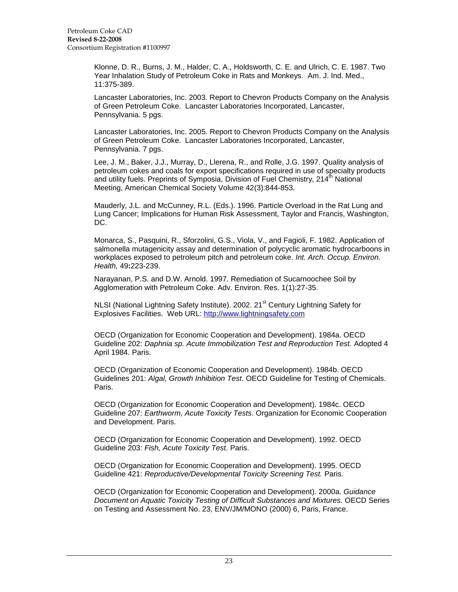Klonne, D. R., Burns, J. M., Halder, C. A., Holdsworth, C. E. and Ulrich, C. E. 1987. Two Year Inhalation Study of Petroleum Coke in Rats and Monkeys. Am. J. Ind. Med., 11:375-389.

Lancaster Laboratories, Inc. 2003. Report to Chevron Products Company on the Analysis of Green Petroleum Coke. Lancaster Laboratories Incorporated, Lancaster, Pennsylvania. 5 pgs.

Lancaster Laboratories, Inc. 2005. Report to Chevron Products Company on the Analysis of Green Petroleum Coke. Lancaster Laboratories Incorporated, Lancaster, Pennsylvania. 7 pgs.

Lee, J. M., Baker, J.J., Murray, D., Llerena, R., and Rolle, J.G. 1997. Quality analysis of petroleum cokes and coals for export specifications required in use of specialty products and utility fuels. Preprints of Symposia, Division of Fuel Chemistry, 214<sup>th</sup> National Meeting, American Chemical Society Volume 42(3):844-853.

Mauderly, J.L. and McCunney, R.L. (Eds.). 1996. Particle Overload in the Rat Lung and Lung Cancer; Implications for Human Risk Assessment, Taylor and Francis, Washington, DC.

Monarca, S., Pasquini, R., Sforzolini, G.S., Viola, V., and Fagioli, F. 1982. Application of salmonella mutagenicity assay and determination of polycyclic aromatic hydrocarboons in workplaces exposed to petroleum pitch and petroleum coke. *Int. Arch. Occup. Environ. Health,* 49**:**223-239.

Narayanan, P.S. and D.W. Arnold. 1997. Remediation of Sucarnoochee Soil by Agglomeration with Petroleum Coke. Adv. Environ. Res. 1(1):27-35.

NLSI (National Lightning Safety Institute). 2002. 21<sup>st</sup> Century Lightning Safety for Explosives Facilities. Web URL: [http://www.lightningsafety.com](http://www.lightningsafety.com/)

OECD (Organization for Economic Cooperation and Development). 1984a. OECD Guideline 202: *Daphnia sp. Acute Immobilization Test and Reproduction Test.* Adopted 4 April 1984. Paris.

OECD (Organization of Economic Cooperation and Development). 1984b. OECD Guidelines 201: *Algal, Growth Inhibition Test*. OECD Guideline for Testing of Chemicals. Paris.

OECD (Organization for Economic Cooperation and Development). 1984c. OECD Guideline 207: *Earthworm, Acute Toxicity Tests*. Organization for Economic Cooperation and Development. Paris.

OECD (Organization for Economic Cooperation and Development). 1992. OECD Guideline 203: *Fish, Acute Toxicity Test*. Paris.

OECD (Organization for Economic Cooperation and Development). 1995. OECD Guideline 421: *Reproductive/Developmental Toxicity Screening Test.* Paris.

OECD (Organization for Economic Cooperation and Development). 2000a. *Guidance Document on Aquatic Toxicity Testing of Difficult Substances and Mixtures.* OECD Series on Testing and Assessment No. 23, ENV/JM/MONO (2000) 6, Paris, France.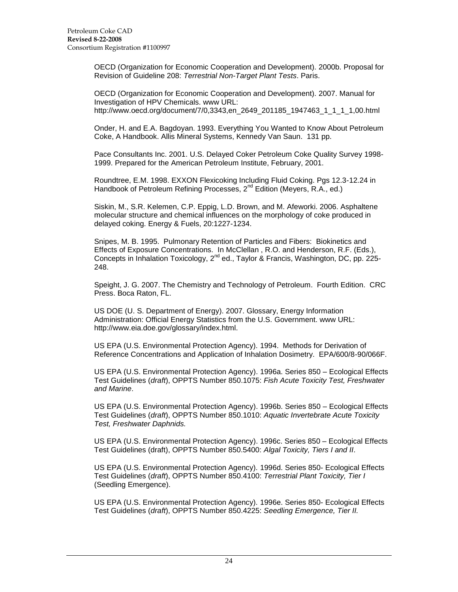OECD (Organization for Economic Cooperation and Development). 2000b. Proposal for Revision of Guideline 208: *Terrestrial Non-Target Plant Tests*. Paris.

OECD (Organization for Economic Cooperation and Development). 2007. Manual for Investigation of HPV Chemicals. www URL: http://www.oecd.org/document/7/0,3343,en\_2649\_201185\_1947463\_1\_1\_1\_1,00.html

Onder, H. and E.A. Bagdoyan. 1993. Everything You Wanted to Know About Petroleum Coke, A Handbook. Allis Mineral Systems, Kennedy Van Saun. 131 pp.

Pace Consultants Inc. 2001. U.S. Delayed Coker Petroleum Coke Quality Survey 1998- 1999. Prepared for the American Petroleum Institute, February, 2001.

Roundtree, E.M. 1998. EXXON Flexicoking Including Fluid Coking. Pgs 12.3-12.24 in Handbook of Petroleum Refining Processes, 2<sup>nd</sup> Edition (Meyers, R.A., ed.)

Siskin, M., S.R. Kelemen, C.P. Eppig, L.D. Brown, and M. Afeworki. 2006. Asphaltene molecular structure and chemical influences on the morphology of coke produced in delayed coking. Energy & Fuels, 20:1227-1234.

Snipes, M. B. 1995. Pulmonary Retention of Particles and Fibers: Biokinetics and Effects of Exposure Concentrations. In McClellan , R.O. and Henderson, R.F. (Eds.), Concepts in Inhalation Toxicology,  $2^{nd}$  ed., Taylor & Francis, Washington, DC, pp. 225-248.

Speight, J. G. 2007. The Chemistry and Technology of Petroleum. Fourth Edition. CRC Press. Boca Raton, FL.

US DOE (U. S. Department of Energy). 2007. Glossary, Energy Information Administration: Official Energy Statistics from the U.S. Government. www URL: http://www.eia.doe.gov/glossary/index.html.

US EPA (U.S. Environmental Protection Agency). 1994. Methods for Derivation of Reference Concentrations and Application of Inhalation Dosimetry. EPA/600/8-90/066F.

US EPA (U.S. Environmental Protection Agency). 1996a. Series 850 – Ecological Effects Test Guidelines (*draft*), OPPTS Number 850.1075: *Fish Acute Toxicity Test, Freshwater and Marine*.

US EPA (U.S. Environmental Protection Agency). 1996b. Series 850 – Ecological Effects Test Guidelines (*draft*), OPPTS Number 850.1010: *Aquatic Invertebrate Acute Toxicity Test, Freshwater Daphnids.*

US EPA (U.S. Environmental Protection Agency). 1996c. Series 850 – Ecological Effects Test Guidelines (draft), OPPTS Number 850.5400: *Algal Toxicity, Tiers I and II*.

US EPA (U.S. Environmental Protection Agency). 1996d. Series 850- Ecological Effects Test Guidelines (*draft*), OPPTS Number 850.4100: *Terrestrial Plant Toxicity, Tier I*  (Seedling Emergence).

US EPA (U.S. Environmental Protection Agency). 1996e. Series 850- Ecological Effects Test Guidelines (*draft*), OPPTS Number 850.4225: *Seedling Emergence, Tier II.*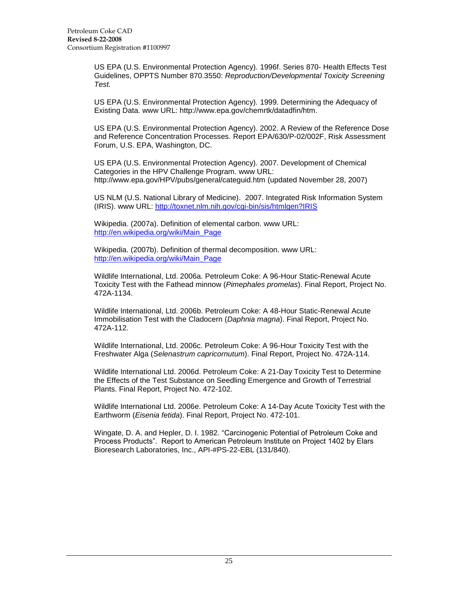US EPA (U.S. Environmental Protection Agency). 1996f. Series 870- Health Effects Test Guidelines, OPPTS Number 870.3550: *Reproduction/Developmental Toxicity Screening Test.*

US EPA (U.S. Environmental Protection Agency). 1999. Determining the Adequacy of Existing Data. www URL: http://www.epa.gov/chemrtk/datadfin/htm.

US EPA (U.S. Environmental Protection Agency). 2002. A Review of the Reference Dose and Reference Concentration Processes. Report EPA/630/P-02/002F, Risk Assessment Forum, U.S. EPA, Washington, DC.

US EPA (U.S. Environmental Protection Agency). 2007. Development of Chemical Categories in the HPV Challenge Program. www URL: http://www.epa.gov/HPV/pubs/general/categuid.htm (updated November 28, 2007)

US NLM (U.S. National Library of Medicine). 2007. Integrated Risk Information System (IRIS). www URL:<http://toxnet.nlm.nih.gov/cgi-bin/sis/htmlgen?IRIS>

Wikipedia. (2007a). Definition of elemental carbon. www URL: [http://en.wikipedia.org/wiki/Main\\_Page](http://en.wikipedia.org/wiki/Main_Page)

Wikipedia. (2007b). Definition of thermal decomposition. www URL: [http://en.wikipedia.org/wiki/Main\\_Page](http://en.wikipedia.org/wiki/Main_Page)

Wildlife International, Ltd. 2006a. Petroleum Coke: A 96-Hour Static-Renewal Acute Toxicity Test with the Fathead minnow (*Pimephales promelas*). Final Report, Project No. 472A-1134.

Wildlife International, Ltd. 2006b. Petroleum Coke: A 48-Hour Static-Renewal Acute Immobilisation Test with the Cladocern (*Daphnia magna*). Final Report, Project No. 472A-112.

Wildlife International, Ltd. 2006c. Petroleum Coke: A 96-Hour Toxicity Test with the Freshwater Alga (*Selenastrum capricornutum*). Final Report, Project No. 472A-114.

Wildlife International Ltd. 2006d. Petroleum Coke: A 21-Day Toxicity Test to Determine the Effects of the Test Substance on Seedling Emergence and Growth of Terrestrial Plants. Final Report, Project No. 472-102.

Wildlife International Ltd. 2006e. Petroleum Coke: A 14-Day Acute Toxicity Test with the Earthworm (*Eisenia fetida*). Final Report, Project No. 472-101.

Wingate, D. A. and Hepler, D. I. 1982. "Carcinogenic Potential of Petroleum Coke and Process Products". Report to American Petroleum Institute on Project 1402 by Elars Bioresearch Laboratories, Inc., API-#PS-22-EBL (131/840).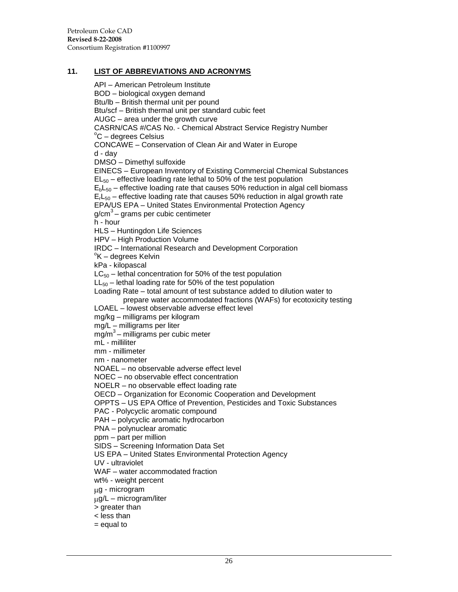#### <span id="page-31-0"></span>**11. LIST OF ABBREVIATIONS AND ACRONYMS**

API – American Petroleum Institute BOD – biological oxygen demand Btu/lb – British thermal unit per pound Btu/scf – British thermal unit per standard cubic feet AUGC – area under the growth curve CASRN/CAS #/CAS No. - Chemical Abstract Service Registry Number  $\mathrm{^{\circ}C}$  – degrees Celsius CONCAWE – Conservation of Clean Air and Water in Europe d - day DMSO – Dimethyl sulfoxide EINECS – European Inventory of Existing Commercial Chemical Substances  $EL_{50}$  – effective loading rate lethal to 50% of the test population  $E_bL_{50}$  – effective loading rate that causes 50% reduction in algal cell biomass  $E<sub>150</sub>$  – effective loading rate that causes 50% reduction in algal growth rate EPA/US EPA – United States Environmental Protection Agency g/cm<sup>3</sup> – grams per cubic centimeter h - hour HLS – Huntingdon Life Sciences HPV – High Production Volume IRDC – International Research and Development Corporation <sup>o</sup>K – degrees Kelvin kPa - kilopascal  $LC_{50}$  – lethal concentration for 50% of the test population  $LL_{50}$  – lethal loading rate for 50% of the test population Loading Rate – total amount of test substance added to dilution water to prepare water accommodated fractions (WAFs) for ecotoxicity testing LOAEL – lowest observable adverse effect level mg/kg – milligrams per kilogram mg/L – milligrams per liter mg/m<sup>3</sup> - milligrams per cubic meter mL - milliliter mm - millimeter nm - nanometer NOAEL – no observable adverse effect level NOEC – no observable effect concentration NOELR – no observable effect loading rate OECD – Organization for Economic Cooperation and Development OPPTS – US EPA Office of Prevention, Pesticides and Toxic Substances PAC - Polycyclic aromatic compound PAH – polycyclic aromatic hydrocarbon PNA – polynuclear aromatic ppm – part per million SIDS – Screening Information Data Set US EPA – United States Environmental Protection Agency UV - ultraviolet WAF – water accommodated fraction wt% - weight percent g - microgram g/L – microgram/liter > greater than < less than = equal to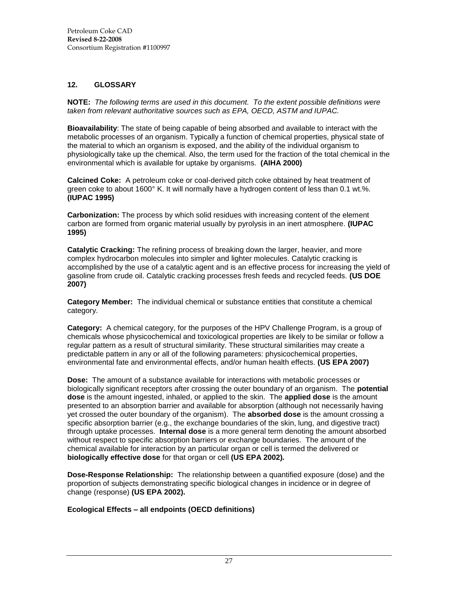# <span id="page-32-0"></span>**12. GLOSSARY**

**NOTE:** *The following terms are used in this document. To the extent possible definitions were taken from relevant authoritative sources such as EPA, OECD, ASTM and IUPAC.*

**Bioavailability**: The state of being capable of being absorbed and available to interact with the metabolic processes of an organism. Typically a function of chemical properties, physical state of the material to which an organism is exposed, and the ability of the individual organism to physiologically take up the chemical. Also, the term used for the fraction of the total chemical in the environmental which is available for uptake by organisms. **(AIHA 2000)**

**Calcined Coke:** A petroleum coke or coal-derived pitch coke obtained by heat treatment of green coke to about 1600° K. It will normally have a hydrogen content of less than 0.1 wt.%. **(IUPAC 1995)**

**Carbonization:** The process by which solid residues with increasing content of the element carbon are formed from organic material usually by pyrolysis in an inert atmosphere. **(IUPAC 1995)**

**Catalytic Cracking:** The refining process of breaking down the larger, heavier, and more complex hydrocarbon molecules into simpler and lighter molecules. Catalytic cracking is accomplished by the use of a catalytic agent and is an effective process for increasing the yield of gasoline from crude oil. Catalytic cracking processes fresh feeds and recycled feeds. **(US DOE 2007)**

**Category Member:** The individual chemical or substance entities that constitute a chemical category.

**Category:** A chemical category, for the purposes of the HPV Challenge Program, is a group of chemicals whose physicochemical and toxicological properties are likely to be similar or follow a regular pattern as a result of structural similarity. These structural similarities may create a predictable pattern in any or all of the following parameters: physicochemical properties, environmental fate and environmental effects, and/or human health effects. **(US EPA 2007)**

**Dose:** The amount of a substance available for interactions with metabolic processes or biologically significant receptors after crossing the outer boundary of an organism. The **potential dose** is the amount ingested, inhaled, or applied to the skin. The **applied dose** is the amount presented to an absorption barrier and available for absorption (although not necessarily having yet crossed the outer boundary of the organism). The **absorbed dose** is the amount crossing a specific absorption barrier (e.g., the exchange boundaries of the skin, lung, and digestive tract) through uptake processes. **Internal dose** is a more general term denoting the amount absorbed without respect to specific absorption barriers or exchange boundaries. The amount of the chemical available for interaction by an particular organ or cell is termed the delivered or **biologically effective dose** for that organ or cell **(US EPA 2002)***.*

**Dose-Response Relationship:** The relationship between a quantified exposure (dose) and the proportion of subjects demonstrating specific biological changes in incidence or in degree of change (response) **(US EPA 2002).**

# **Ecological Effects – all endpoints (OECD definitions)**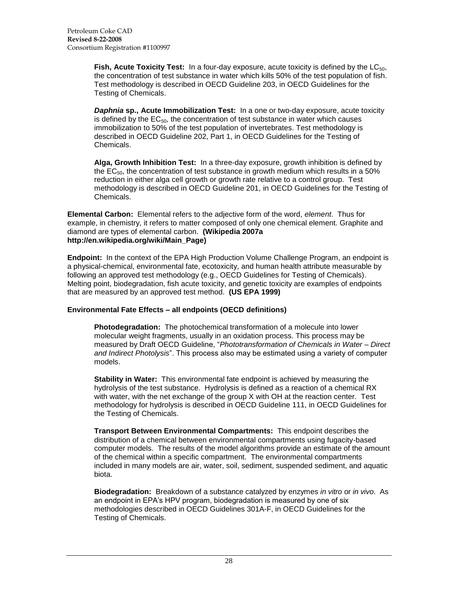**Fish, Acute Toxicity Test:** In a four-day exposure, acute toxicity is defined by the LC<sub>50</sub>. the concentration of test substance in water which kills 50% of the test population of fish. Test methodology is described in OECD Guideline 203, in OECD Guidelines for the Testing of Chemicals.

*Daphnia* **sp., Acute Immobilization Test:** In a one or two-day exposure, acute toxicity is defined by the  $EC_{50}$ , the concentration of test substance in water which causes immobilization to 50% of the test population of invertebrates. Test methodology is described in OECD Guideline 202, Part 1, in OECD Guidelines for the Testing of Chemicals.

**Alga, Growth Inhibition Test:** In a three-day exposure, growth inhibition is defined by the  $EC_{50}$ , the concentration of test substance in growth medium which results in a 50% reduction in either alga cell growth or growth rate relative to a control group. Test methodology is described in OECD Guideline 201, in OECD Guidelines for the Testing of Chemicals.

**Elemental Carbon:** Elemental refers to the adjective form of the word, *element*. Thus for example, in chemistry, it refers to matter composed of only one chemical element. Graphite and diamond are types of elemental carbon. **(Wikipedia 2007a http://en.wikipedia.org/wiki/Main\_Page)**

**Endpoint:** In the context of the EPA High Production Volume Challenge Program, an endpoint is a physical-chemical, environmental fate, ecotoxicity, and human health attribute measurable by following an approved test methodology (e.g., OECD Guidelines for Testing of Chemicals). Melting point, biodegradation, fish acute toxicity, and genetic toxicity are examples of endpoints that are measured by an approved test method. **(US EPA 1999)**

#### **Environmental Fate Effects – all endpoints (OECD definitions)**

**Photodegradation:** The photochemical transformation of a molecule into lower molecular weight fragments, usually in an oxidation process. This process may be measured by Draft OECD Guideline, "*Phototransformation of Chemicals in Water – Direct and Indirect Photolysis*". This process also may be estimated using a variety of computer models.

**Stability in Water:** This environmental fate endpoint is achieved by measuring the hydrolysis of the test substance. Hydrolysis is defined as a reaction of a chemical RX with water, with the net exchange of the group X with OH at the reaction center. Test methodology for hydrolysis is described in OECD Guideline 111, in OECD Guidelines for the Testing of Chemicals.

**Transport Between Environmental Compartments:** This endpoint describes the distribution of a chemical between environmental compartments using fugacity-based computer models. The results of the model algorithms provide an estimate of the amount of the chemical within a specific compartment. The environmental compartments included in many models are air, water, soil, sediment, suspended sediment, and aquatic biota.

**Biodegradation:** Breakdown of a substance catalyzed by enzymes *in vitro* or *in vivo*. As an endpoint in EPA"s HPV program, biodegradation is measured by one of six methodologies described in OECD Guidelines 301A-F, in OECD Guidelines for the Testing of Chemicals.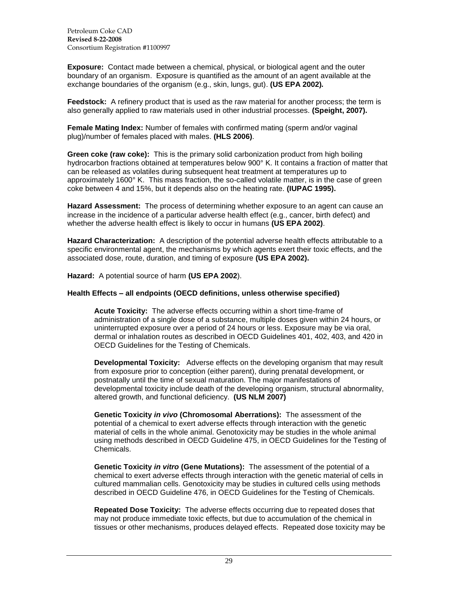Petroleum Coke CAD **Revised 8-22-2008** Consortium Registration #1100997

**Exposure:** Contact made between a chemical, physical, or biological agent and the outer boundary of an organism. Exposure is quantified as the amount of an agent available at the exchange boundaries of the organism (e.g., skin, lungs, gut). **(US EPA 2002)***.*

**Feedstock:** A refinery product that is used as the raw material for another process; the term is also generally applied to raw materials used in other industrial processes. **(Speight, 2007).**

**Female Mating Index:** Number of females with confirmed mating (sperm and/or vaginal plug)/number of females placed with males. **(HLS 2006)**.

**Green coke (raw coke):** This is the primary solid carbonization product from high boiling hydrocarbon fractions obtained at temperatures below 900° K. It contains a fraction of matter that can be released as volatiles during subsequent heat treatment at temperatures up to approximately 1600° K. This mass fraction, the so-called volatile matter, is in the case of green coke between 4 and 15%, but it depends also on the heating rate. **(IUPAC 1995).**

**Hazard Assessment:** The process of determining whether exposure to an agent can cause an increase in the incidence of a particular adverse health effect (e.g., cancer, birth defect) and whether the adverse health effect is likely to occur in humans **(US EPA 2002)**.

**Hazard Characterization:** A description of the potential adverse health effects attributable to a specific environmental agent, the mechanisms by which agents exert their toxic effects, and the associated dose, route, duration, and timing of exposure **(US EPA 2002).**

**Hazard:** A potential source of harm **(US EPA 2002**).

#### **Health Effects – all endpoints (OECD definitions, unless otherwise specified)**

**Acute Toxicity:** The adverse effects occurring within a short time-frame of administration of a single dose of a substance, multiple doses given within 24 hours, or uninterrupted exposure over a period of 24 hours or less. Exposure may be via oral, dermal or inhalation routes as described in OECD Guidelines 401, 402, 403, and 420 in OECD Guidelines for the Testing of Chemicals.

**Developmental Toxicity:** Adverse effects on the developing organism that may result from exposure prior to conception (either parent), during prenatal development, or postnatally until the time of sexual maturation. The major manifestations of developmental toxicity include death of the developing organism, structural abnormality, altered growth, and functional deficiency. **(US NLM 2007)**

**Genetic Toxicity** *in vivo* **(Chromosomal Aberrations):** The assessment of the potential of a chemical to exert adverse effects through interaction with the genetic material of cells in the whole animal. Genotoxicity may be studies in the whole animal using methods described in OECD Guideline 475, in OECD Guidelines for the Testing of Chemicals.

**Genetic Toxicity** *in vitro* **(Gene Mutations):** The assessment of the potential of a chemical to exert adverse effects through interaction with the genetic material of cells in cultured mammalian cells. Genotoxicity may be studies in cultured cells using methods described in OECD Guideline 476, in OECD Guidelines for the Testing of Chemicals.

**Repeated Dose Toxicity:** The adverse effects occurring due to repeated doses that may not produce immediate toxic effects, but due to accumulation of the chemical in tissues or other mechanisms, produces delayed effects. Repeated dose toxicity may be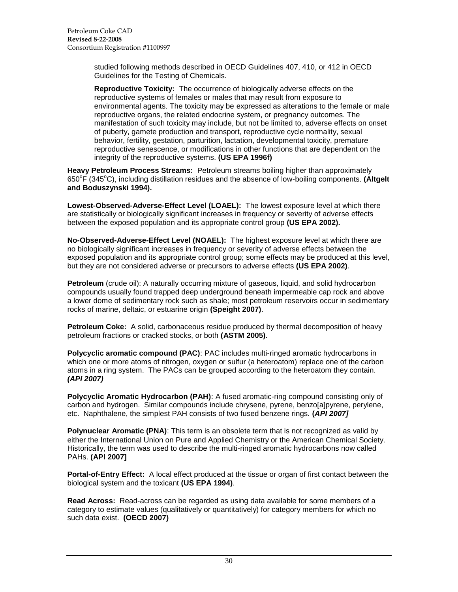studied following methods described in OECD Guidelines 407, 410, or 412 in OECD Guidelines for the Testing of Chemicals.

**Reproductive Toxicity:** The occurrence of biologically adverse effects on the reproductive systems of females or males that may result from exposure to environmental agents. The toxicity may be expressed as alterations to the female or male reproductive organs, the related endocrine system, or pregnancy outcomes. The manifestation of such toxicity may include, but not be limited to, adverse effects on onset of puberty, gamete production and transport, reproductive cycle normality, sexual behavior, fertility, gestation, parturition, lactation, developmental toxicity, premature reproductive senescence, or modifications in other functions that are dependent on the integrity of the reproductive systems. **(US EPA 1996f)**

**Heavy Petroleum Process Streams:** Petroleum streams boiling higher than approximately 650<sup>°</sup>F (345<sup>°</sup>C), including distillation residues and the absence of low-boiling components. (Altgelt **and Boduszynski 1994).**

**Lowest-Observed-Adverse-Effect Level (LOAEL):** The lowest exposure level at which there are statistically or biologically significant increases in frequency or severity of adverse effects between the exposed population and its appropriate control group **(US EPA 2002).**

**No-Observed-Adverse-Effect Level (NOAEL):** The highest exposure level at which there are no biologically significant increases in frequency or severity of adverse effects between the exposed population and its appropriate control group; some effects may be produced at this level, but they are not considered adverse or precursors to adverse effects **(US EPA 2002)**.

**Petroleum** (crude oil): A naturally occurring mixture of gaseous, liquid, and solid hydrocarbon compounds usually found trapped deep underground beneath impermeable cap rock and above a lower dome of sedimentary rock such as shale; most petroleum reservoirs occur in sedimentary rocks of marine, deltaic, or estuarine origin **(Speight 2007)**.

**Petroleum Coke:** A solid, carbonaceous residue produced by thermal decomposition of heavy petroleum fractions or cracked stocks, or both **(ASTM 2005)**.

**Polycyclic aromatic compound (PAC)**: PAC includes multi-ringed aromatic hydrocarbons in which one or more atoms of nitrogen, oxygen or sulfur (a heteroatom) replace one of the carbon atoms in a ring system. The PACs can be grouped according to the heteroatom they contain. *(API 2007)*

**Polycyclic Aromatic Hydrocarbon (PAH)**: A fused aromatic-ring compound consisting only of carbon and hydrogen. Similar compounds include chrysene, pyrene, benzo[a]pyrene, perylene, etc. Naphthalene, the simplest PAH consists of two fused benzene rings. **(***API 2007]*

**Polynuclear Aromatic (PNA)**: This term is an obsolete term that is not recognized as valid by either the International Union on Pure and Applied Chemistry or the American Chemical Society. Historically, the term was used to describe the multi-ringed aromatic hydrocarbons now called PAHs. **(API 2007]**

**Portal-of-Entry Effect:** A local effect produced at the tissue or organ of first contact between the biological system and the toxicant **(US EPA 1994)**.

**Read Across:** Read-across can be regarded as using data available for some members of a category to estimate values (qualitatively or quantitatively) for category members for which no such data exist. **(OECD 2007)**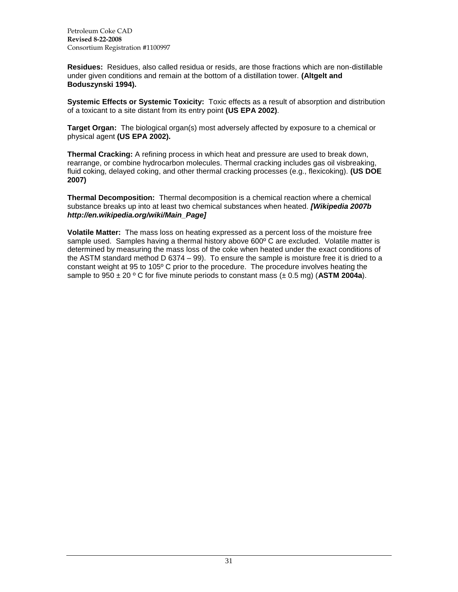Petroleum Coke CAD **Revised 8-22-2008** Consortium Registration #1100997

**Residues:** Residues, also called residua or resids, are those fractions which are non-distillable under given conditions and remain at the bottom of a distillation tower. **(Altgelt and Boduszynski 1994).**

**Systemic Effects or Systemic Toxicity:** Toxic effects as a result of absorption and distribution of a toxicant to a site distant from its entry point **(US EPA 2002)**.

**Target Organ:** The biological organ(s) most adversely affected by exposure to a chemical or physical agent **(US EPA 2002).**

**Thermal Cracking:** A refining process in which heat and pressure are used to break down, rearrange, or combine hydrocarbon molecules. Thermal cracking includes gas oil visbreaking, fluid coking, delayed coking, and other thermal cracking processes (e.g., flexicoking). **(US DOE 2007)**

**Thermal Decomposition:** Thermal decomposition is a chemical reaction where a chemical substance breaks up into at least two chemical substances when heated. *[Wikipedia 2007b http://en.wikipedia.org/wiki/Main\_Page]*

**Volatile Matter:** The mass loss on heating expressed as a percent loss of the moisture free sample used. Samples having a thermal history above  $600^{\circ}$  C are excluded. Volatile matter is determined by measuring the mass loss of the coke when heated under the exact conditions of the ASTM standard method D 6374 – 99). To ensure the sample is moisture free it is dried to a constant weight at 95 to 105º C prior to the procedure. The procedure involves heating the sample to  $950 \pm 20$  ° C for five minute periods to constant mass ( $\pm$  0.5 mg) (ASTM 2004a).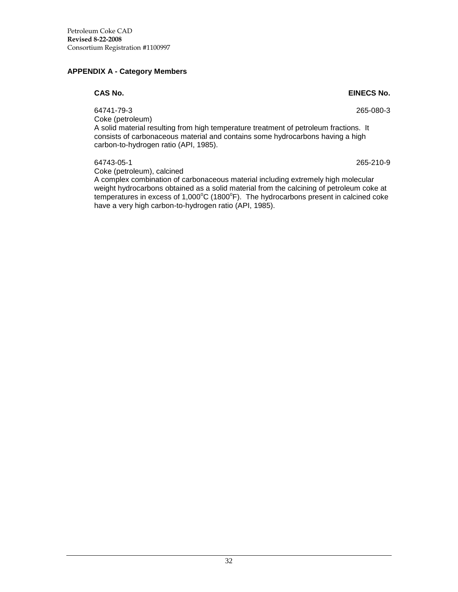### <span id="page-37-0"></span>**APPENDIX A - Category Members**

64741-79-3 265-080-3 Coke (petroleum)

A solid material resulting from high temperature treatment of petroleum fractions. It consists of carbonaceous material and contains some hydrocarbons having a high carbon-to-hydrogen ratio (API, 1985).

64743-05-1 265-210-9 Coke (petroleum), calcined

A complex combination of carbonaceous material including extremely high molecular weight hydrocarbons obtained as a solid material from the calcining of petroleum coke at temperatures in excess of 1,000 $^{\circ}$ C (1800 $^{\circ}$ F). The hydrocarbons present in calcined coke have a very high carbon-to-hydrogen ratio (API, 1985).

**CAS No. EINECS No.**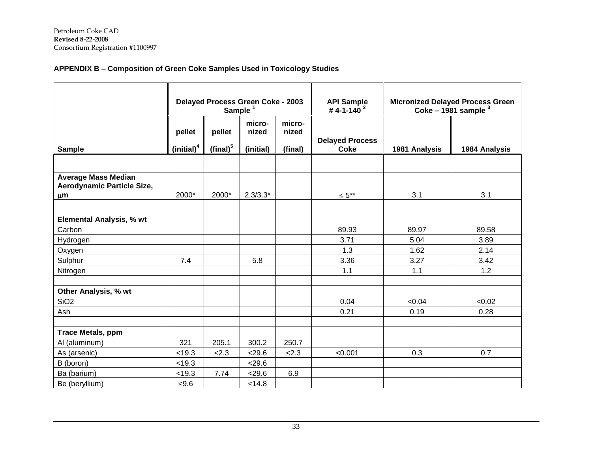# **APPENDIX B – Composition of Green Coke Samples Used in Toxicology Studies**

|                                                                     |                                  | Delayed Process Green Coke - 2003<br>Sample <sup>1</sup> |                              |                            | <b>API Sample</b><br># 4-1-140 $^2$   | Micronized Delayed Process Green<br>Coke - 1981 sample $3$ |               |
|---------------------------------------------------------------------|----------------------------------|----------------------------------------------------------|------------------------------|----------------------------|---------------------------------------|------------------------------------------------------------|---------------|
| <b>Sample</b>                                                       | pellet<br>(inicial) <sup>4</sup> | pellet<br>(final) $5$                                    | micro-<br>nized<br>(initial) | micro-<br>nized<br>(final) | <b>Delayed Process</b><br><b>Coke</b> | 1981 Analysis                                              | 1984 Analysis |
|                                                                     |                                  |                                                          |                              |                            |                                       |                                                            |               |
| <b>Average Mass Median</b><br>Aerodynamic Particle Size,<br>$\mu$ m | 2000*                            | 2000*                                                    | $2.3/3.3*$                   |                            | $\leq 5***$                           | 3.1                                                        | 3.1           |
| <b>Elemental Analysis, % wt</b>                                     |                                  |                                                          |                              |                            |                                       |                                                            |               |
| Carbon                                                              |                                  |                                                          |                              |                            | 89.93                                 | 89.97                                                      | 89.58         |
| Hydrogen                                                            |                                  |                                                          |                              |                            | 3.71                                  | 5.04                                                       | 3.89          |
| Oxygen                                                              |                                  |                                                          |                              |                            | 1.3                                   | 1.62                                                       | 2.14          |
| Sulphur                                                             | 7.4                              |                                                          | 5.8                          |                            | 3.36                                  | 3.27                                                       | 3.42          |
| Nitrogen                                                            |                                  |                                                          |                              |                            | 1.1                                   | 1.1                                                        | 1.2           |
|                                                                     |                                  |                                                          |                              |                            |                                       |                                                            |               |
| Other Analysis, % wt                                                |                                  |                                                          |                              |                            |                                       |                                                            |               |
| SiO <sub>2</sub>                                                    |                                  |                                                          |                              |                            | 0.04                                  | < 0.04                                                     | < 0.02        |
| Ash                                                                 |                                  |                                                          |                              |                            | 0.21                                  | 0.19                                                       | 0.28          |
|                                                                     |                                  |                                                          |                              |                            |                                       |                                                            |               |
| <b>Trace Metals, ppm</b>                                            |                                  |                                                          |                              |                            |                                       |                                                            |               |
| Al (aluminum)                                                       | 321                              | 205.1                                                    | 300.2                        | 250.7                      |                                       |                                                            |               |
| As (arsenic)                                                        | < 19.3                           | 2.3                                                      | < 29.6                       | 2.3                        | < 0.001                               | 0.3                                                        | 0.7           |
| B (boron)                                                           | < 19.3                           |                                                          | < 29.6                       |                            |                                       |                                                            |               |
| Ba (barium)                                                         | < 19.3                           | 7.74                                                     | < 29.6                       | 6.9                        |                                       |                                                            |               |
| Be (beryllium)                                                      | 5.6                              |                                                          | < 14.8                       |                            |                                       |                                                            |               |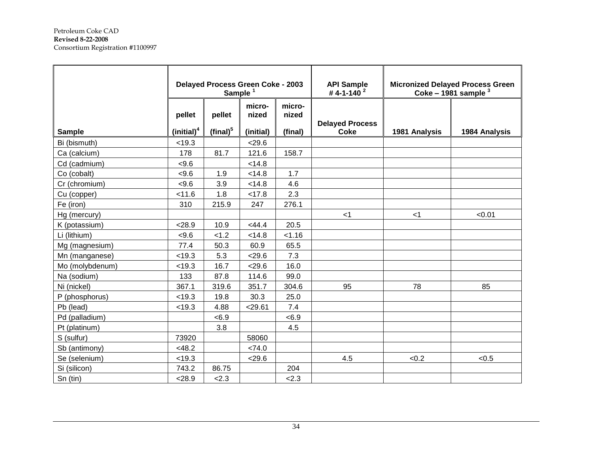|                              | Delayed Process Green Coke - 2003<br>Sample <sup>1</sup> |                              | <b>API Sample</b><br>#4-1-140 <sup>2</sup> |                            | <b>Micronized Delayed Process Green</b><br>Coke - 1981 sample $3$ |               |               |
|------------------------------|----------------------------------------------------------|------------------------------|--------------------------------------------|----------------------------|-------------------------------------------------------------------|---------------|---------------|
| <b>Sample</b>                | pellet<br>(inital) <sup>4</sup>                          | pellet<br>$(\text{final})^5$ | micro-<br>nized<br>(initial)               | micro-<br>nized<br>(final) | <b>Delayed Process</b><br><b>Coke</b>                             | 1981 Analysis | 1984 Analysis |
| Bi (bismuth)                 | < 19.3                                                   |                              | < 29.6                                     |                            |                                                                   |               |               |
|                              | 178                                                      | 81.7                         | 121.6                                      | 158.7                      |                                                                   |               |               |
| Ca (calcium)<br>Cd (cadmium) | < 9.6                                                    |                              | < 14.8                                     |                            |                                                                   |               |               |
| Co (cobalt)                  | < 9.6                                                    | 1.9                          | < 14.8                                     | 1.7                        |                                                                   |               |               |
| Cr (chromium)                | < 9.6                                                    | 3.9                          | < 14.8                                     | 4.6                        |                                                                   |               |               |
| Cu (copper)                  | < 11.6                                                   | 1.8                          | < 17.8                                     | 2.3                        |                                                                   |               |               |
| Fe (iron)                    | 310                                                      | 215.9                        | 247                                        | 276.1                      |                                                                   |               |               |
| Hg (mercury)                 |                                                          |                              |                                            |                            | $<$ 1                                                             | $<$ 1         | < 0.01        |
| K (potassium)                | < 28.9                                                   | 10.9                         | $<$ 44.4                                   | 20.5                       |                                                                   |               |               |
| Li (lithium)                 | < 9.6                                                    | < 1.2                        | < 14.8                                     | < 1.16                     |                                                                   |               |               |
| Mg (magnesium)               | 77.4                                                     | 50.3                         | 60.9                                       | 65.5                       |                                                                   |               |               |
| Mn (manganese)               | < 19.3                                                   | 5.3                          | < 29.6                                     | 7.3                        |                                                                   |               |               |
| Mo (molybdenum)              | < 19.3                                                   | 16.7                         | 29.6                                       | 16.0                       |                                                                   |               |               |
| Na (sodium)                  | 133                                                      | 87.8                         | 114.6                                      | 99.0                       |                                                                   |               |               |
| Ni (nickel)                  | 367.1                                                    | 319.6                        | 351.7                                      | 304.6                      | 95                                                                | 78            | 85            |
| P (phosphorus)               | < 19.3                                                   | 19.8                         | 30.3                                       | 25.0                       |                                                                   |               |               |
| Pb (lead)                    | < 19.3                                                   | 4.88                         | < 29.61                                    | 7.4                        |                                                                   |               |               |
| Pd (palladium)               |                                                          | < 6.9                        |                                            | < 6.9                      |                                                                   |               |               |
| Pt (platinum)                |                                                          | 3.8                          |                                            | 4.5                        |                                                                   |               |               |
| S (sulfur)                   | 73920                                                    |                              | 58060                                      |                            |                                                                   |               |               |
| Sb (antimony)                | < 48.2                                                   |                              | <74.0                                      |                            |                                                                   |               |               |
| Se (selenium)                | < 19.3                                                   |                              | < 29.6                                     |                            | 4.5                                                               | < 0.2         | < 0.5         |
| Si (silicon)                 | 743.2                                                    | 86.75                        |                                            | 204                        |                                                                   |               |               |
| Sn (tin)                     | 28.9                                                     | 2.3                          |                                            | 2.3                        |                                                                   |               |               |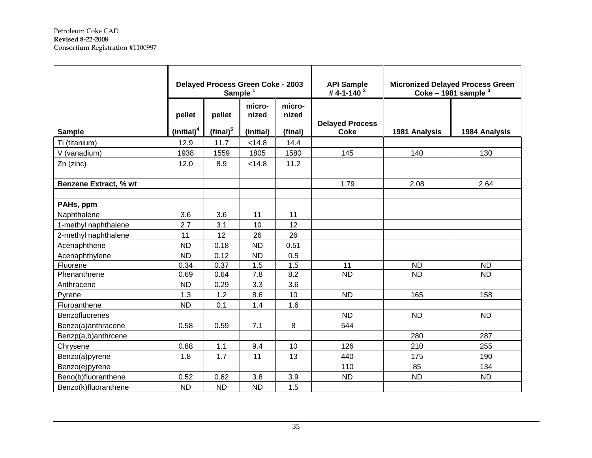|                              | Delayed Process Green Coke - 2003<br>Sample <sup>1</sup> |                              |                              |                            | <b>API Sample</b><br>#4-1-140 $^{2}$  |               | <b>Micronized Delayed Process Green</b><br>Coke - 1981 sample $3$ |
|------------------------------|----------------------------------------------------------|------------------------------|------------------------------|----------------------------|---------------------------------------|---------------|-------------------------------------------------------------------|
| <b>Sample</b>                | pellet<br>(initial) <sup>4</sup>                         | pellet<br>$(\text{final})^5$ | micro-<br>nized<br>(initial) | micro-<br>nized<br>(final) | <b>Delayed Process</b><br><b>Coke</b> | 1981 Analysis | 1984 Analysis                                                     |
| Ti (titanium)                | 12.9                                                     | 11.7                         | < 14.8                       | 14.4                       |                                       |               |                                                                   |
| V (vanadium)                 | 1938                                                     | 1559                         | 1805                         | 1580                       | 145                                   | 140           | 130                                                               |
| Zn (zinc)                    | 12.0                                                     | 8.9                          | < 14.8                       | 11.2                       |                                       |               |                                                                   |
|                              |                                                          |                              |                              |                            |                                       |               |                                                                   |
| <b>Benzene Extract, % wt</b> |                                                          |                              |                              |                            | 1.79                                  | 2.08          | 2.64                                                              |
|                              |                                                          |                              |                              |                            |                                       |               |                                                                   |
| PAHs, ppm                    |                                                          |                              |                              |                            |                                       |               |                                                                   |
| Naphthalene                  | 3.6                                                      | 3.6                          | 11                           | 11                         |                                       |               |                                                                   |
| 1-methyl naphthalene         | 2.7                                                      | 3.1                          | 10                           | 12                         |                                       |               |                                                                   |
| 2-methyl naphthalene         | 11                                                       | 12                           | 26                           | 26                         |                                       |               |                                                                   |
| Acenaphthene                 | <b>ND</b>                                                | 0.18                         | <b>ND</b>                    | 0.51                       |                                       |               |                                                                   |
| Acenaphthylene               | <b>ND</b>                                                | 0.12                         | <b>ND</b>                    | 0.5                        |                                       |               |                                                                   |
| Fluorene                     | 0.34                                                     | 0.37                         | 1.5                          | 1.5                        | 11                                    | <b>ND</b>     | <b>ND</b>                                                         |
| Phenanthrene                 | 0.69                                                     | 0.64                         | 7.8                          | 8.2                        | <b>ND</b>                             | <b>ND</b>     | <b>ND</b>                                                         |
| Anthracene                   | <b>ND</b>                                                | 0.29                         | 3.3                          | 3.6                        |                                       |               |                                                                   |
| Pyrene                       | 1.3                                                      | 1.2                          | 8.6                          | 10                         | <b>ND</b>                             | 165           | 158                                                               |
| Fluroanthene                 | <b>ND</b>                                                | 0.1                          | 1.4                          | 1.6                        |                                       |               |                                                                   |
| Benzofluorenes               |                                                          |                              |                              |                            | <b>ND</b>                             | <b>ND</b>     | <b>ND</b>                                                         |
| Benzo(a)anthracene           | 0.58                                                     | 0.59                         | 7.1                          | 8                          | 544                                   |               |                                                                   |
| Benzp(a,b)anthrcene          |                                                          |                              |                              |                            |                                       | 280           | 287                                                               |
| Chrysene                     | 0.88                                                     | 1.1                          | 9.4                          | 10                         | 126                                   | 210           | 255                                                               |
| Benzo(a)pyrene               | 1.8                                                      | 1.7                          | 11                           | 13                         | 440                                   | 175           | 190                                                               |
| Benzo(e)pyrene               |                                                          |                              |                              |                            | 110                                   | 85            | 134                                                               |
| Beno(b)fluoranthene          | 0.52                                                     | 0.62                         | 3.8                          | 3.9                        | <b>ND</b>                             | <b>ND</b>     | <b>ND</b>                                                         |
| Benzo(k)fluoranthene         | <b>ND</b>                                                | <b>ND</b>                    | <b>ND</b>                    | 1.5                        |                                       |               |                                                                   |